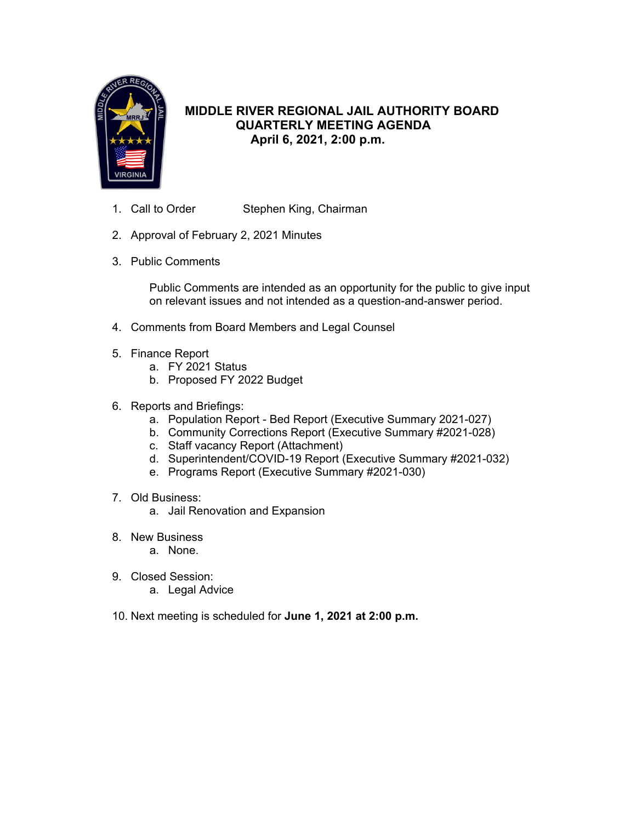

# **MIDDLE RIVER REGIONAL JAIL AUTHORITY BOARD QUARTERLY MEETING AGENDA April 6, 2021, 2:00 p.m.**

- 1. Call to Order Stephen King, Chairman
- 2. Approval of February 2, 2021 Minutes
- 3. Public Comments

Public Comments are intended as an opportunity for the public to give input on relevant issues and not intended as a question-and-answer period.

- 4. Comments from Board Members and Legal Counsel
- 5. Finance Report
	- a. FY 2021 Status
	- b. Proposed FY 2022 Budget
- 6. Reports and Briefings:
	- a. Population Report Bed Report (Executive Summary 2021-027)
	- b. Community Corrections Report (Executive Summary #2021-028)
	- c. Staff vacancy Report (Attachment)
	- d. Superintendent/COVID-19 Report (Executive Summary #2021-032)
	- e. Programs Report (Executive Summary #2021-030)
- 7. Old Business:
	- a. Jail Renovation and Expansion
- 8. New Business
	- a. None.
- 9. Closed Session:
	- a. Legal Advice
- 10. Next meeting is scheduled for **June 1, 2021 at 2:00 p.m.**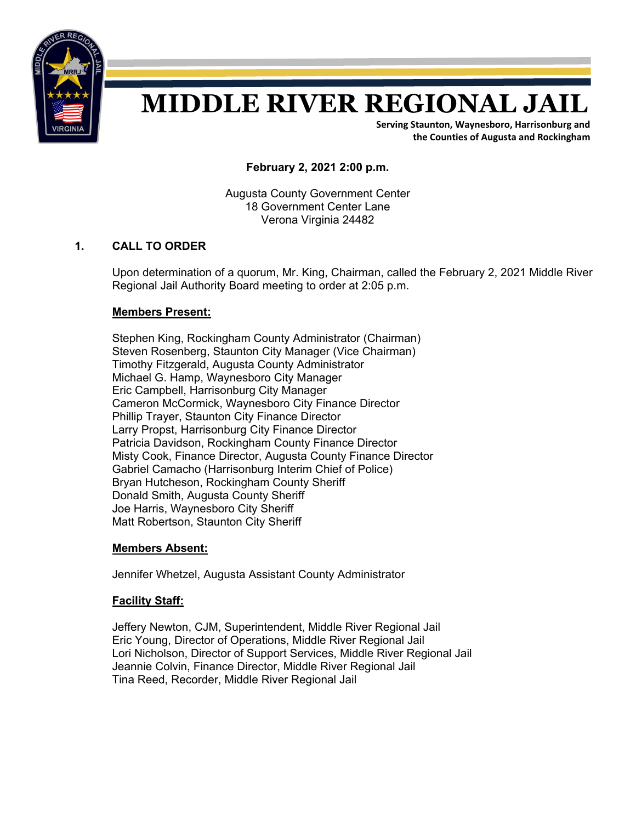

# **MIDDLE RIVER REGIONAL JAIL**

**Serving Staunton, Waynesboro, Harrisonburg and the Counties of Augusta and Rockingham**

**February 2, 2021 2:00 p.m.** 

Augusta County Government Center 18 Government Center Lane Verona Virginia 24482

# **1. CALL TO ORDER**

Upon determination of a quorum, Mr. King, Chairman, called the February 2, 2021 Middle River Regional Jail Authority Board meeting to order at 2:05 p.m.

# **Members Present:**

Stephen King, Rockingham County Administrator (Chairman) Steven Rosenberg, Staunton City Manager (Vice Chairman) Timothy Fitzgerald, Augusta County Administrator Michael G. Hamp, Waynesboro City Manager Eric Campbell, Harrisonburg City Manager Cameron McCormick, Waynesboro City Finance Director Phillip Trayer, Staunton City Finance Director Larry Propst, Harrisonburg City Finance Director Patricia Davidson, Rockingham County Finance Director Misty Cook, Finance Director, Augusta County Finance Director Gabriel Camacho (Harrisonburg Interim Chief of Police) Bryan Hutcheson, Rockingham County Sheriff Donald Smith, Augusta County Sheriff Joe Harris, Waynesboro City Sheriff Matt Robertson, Staunton City Sheriff

# **Members Absent:**

Jennifer Whetzel, Augusta Assistant County Administrator

# **Facility Staff:**

 Jeffery Newton, CJM, Superintendent, Middle River Regional Jail Eric Young, Director of Operations, Middle River Regional Jail Lori Nicholson, Director of Support Services, Middle River Regional Jail Jeannie Colvin, Finance Director, Middle River Regional Jail Tina Reed, Recorder, Middle River Regional Jail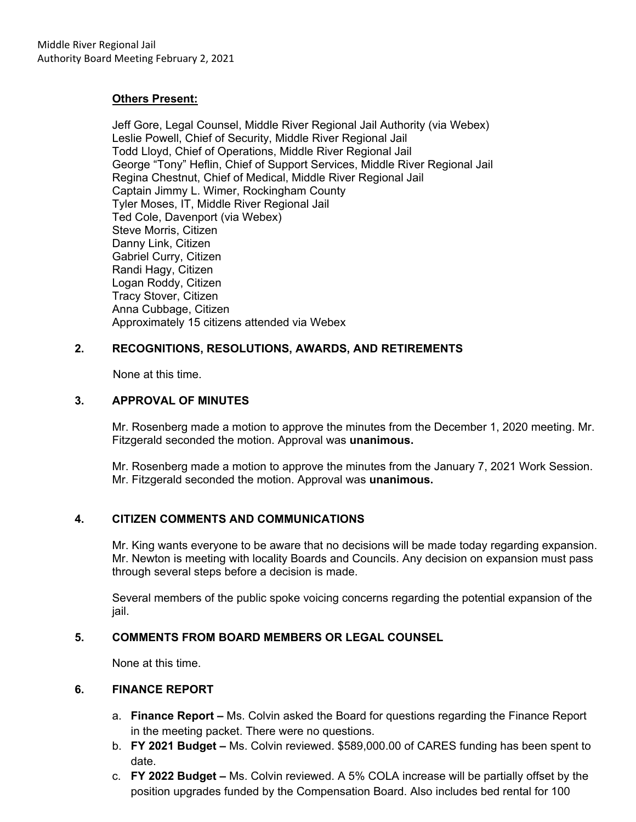## **Others Present:**

 Jeff Gore, Legal Counsel, Middle River Regional Jail Authority (via Webex) Leslie Powell, Chief of Security, Middle River Regional Jail Todd Lloyd, Chief of Operations, Middle River Regional Jail George "Tony" Heflin, Chief of Support Services, Middle River Regional Jail Regina Chestnut, Chief of Medical, Middle River Regional Jail Captain Jimmy L. Wimer, Rockingham County Tyler Moses, IT, Middle River Regional Jail Ted Cole, Davenport (via Webex) Steve Morris, Citizen Danny Link, Citizen Gabriel Curry, Citizen Randi Hagy, Citizen Logan Roddy, Citizen Tracy Stover, Citizen Anna Cubbage, Citizen Approximately 15 citizens attended via Webex

# **2. RECOGNITIONS, RESOLUTIONS, AWARDS, AND RETIREMENTS**

None at this time.

# **3. APPROVAL OF MINUTES**

Mr. Rosenberg made a motion to approve the minutes from the December 1, 2020 meeting. Mr. Fitzgerald seconded the motion. Approval was **unanimous.** 

Mr. Rosenberg made a motion to approve the minutes from the January 7, 2021 Work Session. Mr. Fitzgerald seconded the motion. Approval was **unanimous.** 

# **4. CITIZEN COMMENTS AND COMMUNICATIONS**

Mr. King wants everyone to be aware that no decisions will be made today regarding expansion. Mr. Newton is meeting with locality Boards and Councils. Any decision on expansion must pass through several steps before a decision is made.

Several members of the public spoke voicing concerns regarding the potential expansion of the jail.

# **5. COMMENTS FROM BOARD MEMBERS OR LEGAL COUNSEL**

None at this time.

# **6. FINANCE REPORT**

- a. **Finance Report –** Ms. Colvin asked the Board for questions regarding the Finance Report in the meeting packet. There were no questions.
- b. **FY 2021 Budget** Ms. Colvin reviewed. \$589,000.00 of CARES funding has been spent to date.
- c. **FY 2022 Budget –** Ms. Colvin reviewed. A 5% COLA increase will be partially offset by the position upgrades funded by the Compensation Board. Also includes bed rental for 100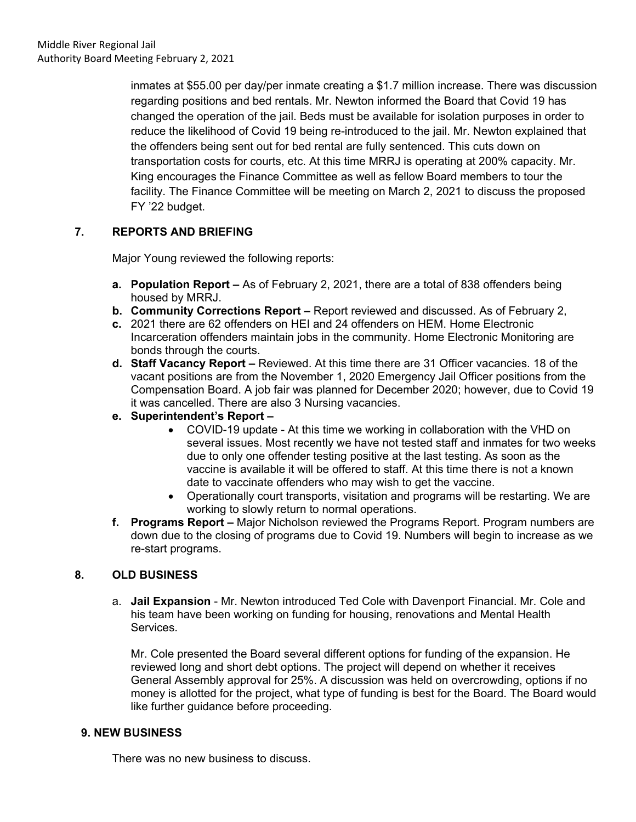inmates at \$55.00 per day/per inmate creating a \$1.7 million increase. There was discussion regarding positions and bed rentals. Mr. Newton informed the Board that Covid 19 has changed the operation of the jail. Beds must be available for isolation purposes in order to reduce the likelihood of Covid 19 being re-introduced to the jail. Mr. Newton explained that the offenders being sent out for bed rental are fully sentenced. This cuts down on transportation costs for courts, etc. At this time MRRJ is operating at 200% capacity. Mr. King encourages the Finance Committee as well as fellow Board members to tour the facility. The Finance Committee will be meeting on March 2, 2021 to discuss the proposed FY '22 budget.

# **7. REPORTS AND BRIEFING**

Major Young reviewed the following reports:

- **a. Population Report** As of February 2, 2021, there are a total of 838 offenders being housed by MRRJ.
- **b. Community Corrections Report –** Report reviewed and discussed. As of February 2,
- **c.** 2021 there are 62 offenders on HEI and 24 offenders on HEM. Home Electronic Incarceration offenders maintain jobs in the community. Home Electronic Monitoring are bonds through the courts.
- **d. Staff Vacancy Report** Reviewed. At this time there are 31 Officer vacancies. 18 of the vacant positions are from the November 1, 2020 Emergency Jail Officer positions from the Compensation Board. A job fair was planned for December 2020; however, due to Covid 19 it was cancelled. There are also 3 Nursing vacancies.
- **e. Superintendent's Report** 
	- COVID-19 update At this time we working in collaboration with the VHD on several issues. Most recently we have not tested staff and inmates for two weeks due to only one offender testing positive at the last testing. As soon as the vaccine is available it will be offered to staff. At this time there is not a known date to vaccinate offenders who may wish to get the vaccine.
	- Operationally court transports, visitation and programs will be restarting. We are working to slowly return to normal operations.
- **f. Programs Report** Major Nicholson reviewed the Programs Report. Program numbers are down due to the closing of programs due to Covid 19. Numbers will begin to increase as we re-start programs.

# **8. OLD BUSINESS**

a. **Jail Expansion** - Mr. Newton introduced Ted Cole with Davenport Financial. Mr. Cole and his team have been working on funding for housing, renovations and Mental Health Services.

Mr. Cole presented the Board several different options for funding of the expansion. He reviewed long and short debt options. The project will depend on whether it receives General Assembly approval for 25%. A discussion was held on overcrowding, options if no money is allotted for the project, what type of funding is best for the Board. The Board would like further guidance before proceeding.

# **9. NEW BUSINESS**

There was no new business to discuss.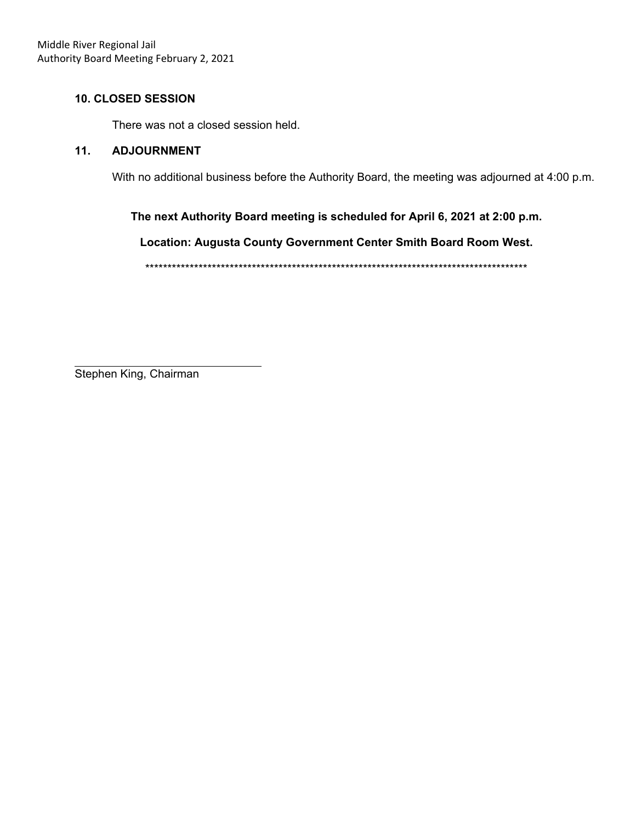# **10. CLOSED SESSION**

There was not a closed session held.

# **11. ADJOURNMENT**

With no additional business before the Authority Board, the meeting was adjourned at 4:00 p.m.

**The next Authority Board meeting is scheduled for April 6, 2021 at 2:00 p.m.** 

**Location: Augusta County Government Center Smith Board Room West.** 

\*\*\*\*\*\*\*\*\*\*\*\*\*\*\*\*\*\*\*\*\*\*\*\*\*\*\*\*\*\*\*\*\*\*\*\*\*\*\*\*\*\*\*\*\*\*\*\*\*\*\*\*\*\*\*\*\*\*\*\*\*\*\*\*\*\*\*\*\*\*\*\*\*\*\*\*\*\*\*\*\*\*\*\*\*\*

Stephen King, Chairman

 $\overline{a}$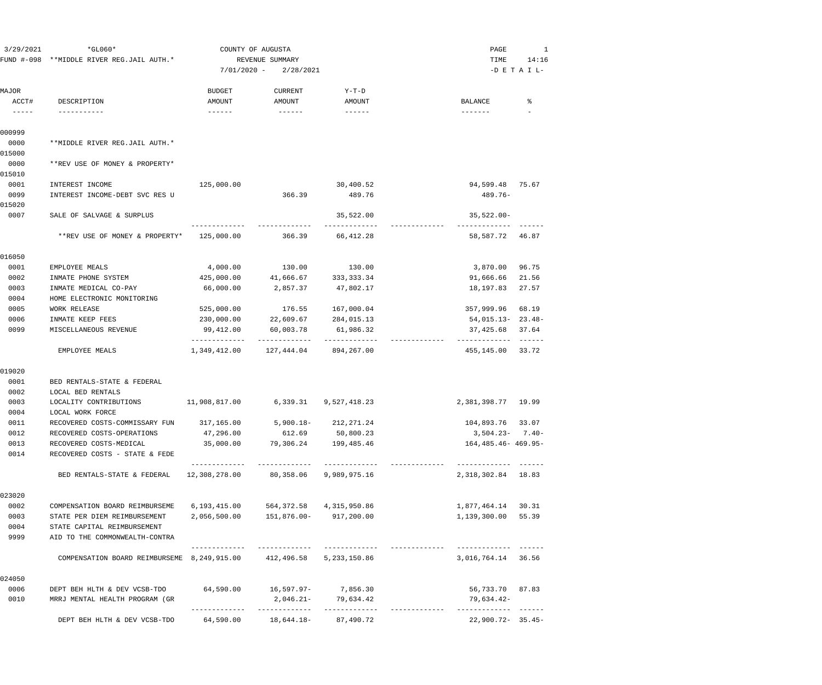| 3/29/2021                                                                                                                                                                                                                                                                                                                                                                                                      | $*GLO60*$<br>FUND #-098 **MIDDLE RIVER REG.JAIL AUTH.* |                                            | COUNTY OF AUGUSTA<br>REVENUE SUMMARY |                                      | PAGE<br>TIME                      | 1<br>14:16               |
|----------------------------------------------------------------------------------------------------------------------------------------------------------------------------------------------------------------------------------------------------------------------------------------------------------------------------------------------------------------------------------------------------------------|--------------------------------------------------------|--------------------------------------------|--------------------------------------|--------------------------------------|-----------------------------------|--------------------------|
|                                                                                                                                                                                                                                                                                                                                                                                                                |                                                        | $7/01/2020 -$                              | 2/28/2021                            |                                      |                                   | $-D$ E T A I L-          |
| MAJOR<br>ACCT#<br>$\frac{1}{2} \frac{1}{2} \frac{1}{2} \frac{1}{2} \frac{1}{2} \frac{1}{2} \frac{1}{2} \frac{1}{2} \frac{1}{2} \frac{1}{2} \frac{1}{2} \frac{1}{2} \frac{1}{2} \frac{1}{2} \frac{1}{2} \frac{1}{2} \frac{1}{2} \frac{1}{2} \frac{1}{2} \frac{1}{2} \frac{1}{2} \frac{1}{2} \frac{1}{2} \frac{1}{2} \frac{1}{2} \frac{1}{2} \frac{1}{2} \frac{1}{2} \frac{1}{2} \frac{1}{2} \frac{1}{2} \frac{$ | DESCRIPTION<br>-----------                             | <b>BUDGET</b><br>AMOUNT<br>$- - - - - - -$ | <b>CURRENT</b><br>AMOUNT             | $Y-T-D$<br>AMOUNT<br>$- - - - - - -$ | <b>BALANCE</b><br>$- - - - - - -$ | ႜ                        |
| 000999                                                                                                                                                                                                                                                                                                                                                                                                         |                                                        |                                            |                                      |                                      |                                   |                          |
| 0000                                                                                                                                                                                                                                                                                                                                                                                                           | **MIDDLE RIVER REG.JAIL AUTH.*                         |                                            |                                      |                                      |                                   |                          |
| 015000                                                                                                                                                                                                                                                                                                                                                                                                         |                                                        |                                            |                                      |                                      |                                   |                          |
| 0000<br>015010                                                                                                                                                                                                                                                                                                                                                                                                 | **REV USE OF MONEY & PROPERTY*                         |                                            |                                      |                                      |                                   |                          |
| 0001                                                                                                                                                                                                                                                                                                                                                                                                           | INTEREST INCOME                                        | 125,000.00                                 |                                      | 30,400.52                            | 94,599.48 75.67                   |                          |
| 0099<br>015020                                                                                                                                                                                                                                                                                                                                                                                                 | INTEREST INCOME-DEBT SVC RES U                         |                                            | 366.39                               | 489.76                               | $489.76 -$                        |                          |
| 0007                                                                                                                                                                                                                                                                                                                                                                                                           | SALE OF SALVAGE & SURPLUS                              |                                            |                                      | 35,522.00<br>----------              | $35,522.00 -$                     |                          |
|                                                                                                                                                                                                                                                                                                                                                                                                                | **REV USE OF MONEY & PROPERTY*                         | 125,000.00                                 | 366.39                               | 66,412.28                            | 58,587.72                         | 46.87                    |
| 016050                                                                                                                                                                                                                                                                                                                                                                                                         |                                                        |                                            |                                      |                                      |                                   |                          |
| 0001                                                                                                                                                                                                                                                                                                                                                                                                           | EMPLOYEE MEALS                                         | 4,000.00                                   | 130.00                               | 130.00                               | 3,870.00                          | 96.75                    |
| 0002                                                                                                                                                                                                                                                                                                                                                                                                           | INMATE PHONE SYSTEM                                    | 425,000.00                                 | 41,666.67                            | 333, 333. 34                         | 91,666.66                         | 21.56                    |
| 0003                                                                                                                                                                                                                                                                                                                                                                                                           | INMATE MEDICAL CO-PAY                                  | 66,000.00                                  | 2,857.37                             | 47,802.17                            | 18,197.83                         | 27.57                    |
| 0004                                                                                                                                                                                                                                                                                                                                                                                                           | HOME ELECTRONIC MONITORING                             |                                            |                                      |                                      |                                   |                          |
| 0005                                                                                                                                                                                                                                                                                                                                                                                                           | <b>WORK RELEASE</b>                                    | 525,000.00                                 | 176.55                               | 167,000.04                           | 357,999.96                        | 68.19                    |
| 0006                                                                                                                                                                                                                                                                                                                                                                                                           | INMATE KEEP FEES                                       | 230,000.00                                 | 22,609.67                            | 284,015.13                           | $54,015.13 - 23.48 -$             |                          |
| 0099                                                                                                                                                                                                                                                                                                                                                                                                           | MISCELLANEOUS REVENUE                                  | 99,412.00<br>-------------                 | 60,003.78<br>-------------           | 61,986.32<br>-------------           | 37,425.68<br>-------------        | 37.64<br>$- - - - - - -$ |
|                                                                                                                                                                                                                                                                                                                                                                                                                | EMPLOYEE MEALS                                         | 1,349,412.00                               | 127,444.04                           | 894,267.00                           | 455,145.00                        | 33.72                    |
| 019020                                                                                                                                                                                                                                                                                                                                                                                                         |                                                        |                                            |                                      |                                      |                                   |                          |
| 0001                                                                                                                                                                                                                                                                                                                                                                                                           | BED RENTALS-STATE & FEDERAL                            |                                            |                                      |                                      |                                   |                          |
| 0002                                                                                                                                                                                                                                                                                                                                                                                                           | LOCAL BED RENTALS                                      |                                            |                                      |                                      |                                   |                          |
| 0003<br>0004                                                                                                                                                                                                                                                                                                                                                                                                   | LOCALITY CONTRIBUTIONS<br>LOCAL WORK FORCE             | 11,908,817.00                              | 6,339.31                             | 9,527,418.23                         | 2,381,398.77                      | 19.99                    |
| 0011                                                                                                                                                                                                                                                                                                                                                                                                           | RECOVERED COSTS-COMMISSARY FUN                         | 317,165.00                                 | $5,900.18-$                          | 212, 271.24                          | 104,893.76                        | 33.07                    |
| 0012                                                                                                                                                                                                                                                                                                                                                                                                           | RECOVERED COSTS-OPERATIONS                             | 47,296.00                                  | 612.69                               | 50,800.23                            | $3,504.23 - 7.40 -$               |                          |
| 0013                                                                                                                                                                                                                                                                                                                                                                                                           | RECOVERED COSTS-MEDICAL                                | 35,000.00                                  | 79,306.24                            | 199,485.46                           | $164, 485.46 - 469.95 -$          |                          |
| 0014                                                                                                                                                                                                                                                                                                                                                                                                           | RECOVERED COSTS - STATE & FEDE                         |                                            |                                      |                                      |                                   |                          |
|                                                                                                                                                                                                                                                                                                                                                                                                                | BED RENTALS-STATE & FEDERAL                            | -------------<br>12,308,278.00             | 80,358.06                            | 9,989,975.16                         | 2,318,302.84 18.83                |                          |
| 023020                                                                                                                                                                                                                                                                                                                                                                                                         |                                                        |                                            |                                      |                                      |                                   |                          |
| 0002                                                                                                                                                                                                                                                                                                                                                                                                           | COMPENSATION BOARD REIMBURSEME                         | 6,193,415.00                               | 564, 372.58                          | 4,315,950.86                         | 1,877,464.14                      | 30.31                    |
| 0003                                                                                                                                                                                                                                                                                                                                                                                                           | STATE PER DIEM REIMBURSEMENT                           | 2,056,500.00                               | 151,876.00-                          | 917,200.00                           | 1,139,300.00                      | 55.39                    |
| 0004                                                                                                                                                                                                                                                                                                                                                                                                           | STATE CAPITAL REIMBURSEMENT                            |                                            |                                      |                                      |                                   |                          |
| 9999                                                                                                                                                                                                                                                                                                                                                                                                           | AID TO THE COMMONWEALTH-CONTRA                         |                                            | -------------                        | -------------                        |                                   |                          |
|                                                                                                                                                                                                                                                                                                                                                                                                                | COMPENSATION BOARD REIMBURSEME 8,249,915.00            |                                            | 412,496.58                           | 5,233,150.86                         | 3,016,764.14 36.56                |                          |
| 024050                                                                                                                                                                                                                                                                                                                                                                                                         |                                                        |                                            |                                      |                                      |                                   |                          |
| 0006                                                                                                                                                                                                                                                                                                                                                                                                           | DEPT BEH HLTH & DEV VCSB-TDO                           | 64,590.00                                  | 16,597.97- 7,856.30                  |                                      | 56,733.70 87.83                   |                          |
| 0010                                                                                                                                                                                                                                                                                                                                                                                                           | MRRJ MENTAL HEALTH PROGRAM (GR                         |                                            | 2,046.21-                            | 79,634.42                            | 79,634.42-                        |                          |
|                                                                                                                                                                                                                                                                                                                                                                                                                | DEPT BEH HLTH & DEV VCSB-TDO                           | 64,590.00                                  | 18,644.18-                           | 87,490.72                            | $22,900.72 - 35.45 -$             |                          |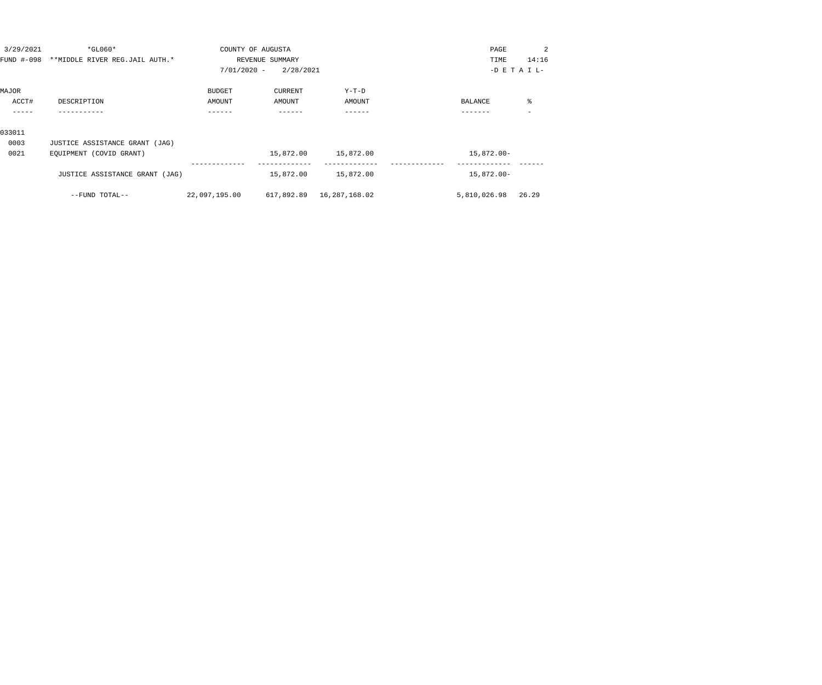| 3/29/2021 | $*$ GL060*                                | COUNTY OF AUGUSTA |                 |                           | PAGE         | 2               |
|-----------|-------------------------------------------|-------------------|-----------------|---------------------------|--------------|-----------------|
|           | FUND #-098 **MIDDLE RIVER REG.JAIL AUTH.* |                   | REVENUE SUMMARY |                           | TIME         | 14:16           |
|           |                                           | $7/01/2020 -$     | 2/28/2021       |                           |              | $-D$ E T A I L- |
| MAJOR     |                                           | <b>BUDGET</b>     | CURRENT         | $Y-T-D$                   |              |                 |
| ACCT#     | DESCRIPTION                               | AMOUNT            | AMOUNT          | AMOUNT                    | BALANCE      | ႜ               |
|           |                                           |                   |                 |                           |              |                 |
| 033011    |                                           |                   |                 |                           |              |                 |
| 0003      | JUSTICE ASSISTANCE GRANT (JAG)            |                   |                 |                           |              |                 |
| 0021      | EQUIPMENT (COVID GRANT)                   |                   | 15,872.00       | 15,872.00                 | 15,872.00-   |                 |
|           | JUSTICE ASSISTANCE GRANT (JAG)            |                   | 15,872.00       | 15,872.00                 | 15,872.00-   |                 |
|           | --FUND TOTAL--                            | 22,097,195.00     |                 | 617,892.89  16,287,168.02 | 5,810,026.98 | 26.29           |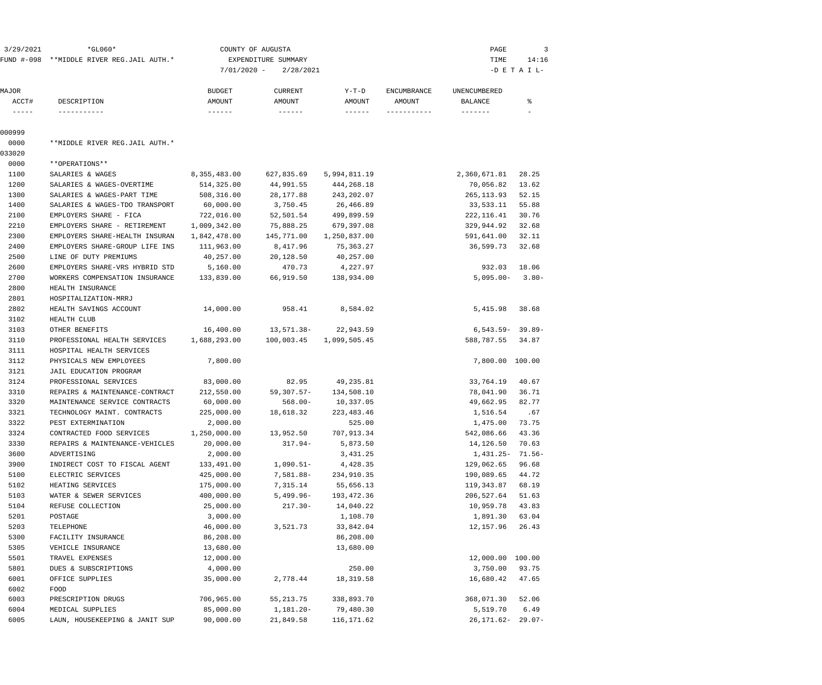| 3/29/2021                                                                                                                                                                                                                                                                                                                                                                                    | $*GLO60*$                                 |               | COUNTY OF AUGUSTA   |                     |                              | PAGE                    | 3               |
|----------------------------------------------------------------------------------------------------------------------------------------------------------------------------------------------------------------------------------------------------------------------------------------------------------------------------------------------------------------------------------------------|-------------------------------------------|---------------|---------------------|---------------------|------------------------------|-------------------------|-----------------|
|                                                                                                                                                                                                                                                                                                                                                                                              | FUND #-098 **MIDDLE RIVER REG.JAIL AUTH.* |               | EXPENDITURE SUMMARY |                     |                              | TIME                    | 14:16           |
|                                                                                                                                                                                                                                                                                                                                                                                              |                                           | $7/01/2020 -$ | 2/28/2021           |                     |                              |                         | $-D$ E T A I L- |
|                                                                                                                                                                                                                                                                                                                                                                                              |                                           | <b>BUDGET</b> |                     | Y-T-D               |                              |                         |                 |
| MAJOR<br>ACCT#                                                                                                                                                                                                                                                                                                                                                                               | DESCRIPTION                               | AMOUNT        | CURRENT<br>AMOUNT   | AMOUNT              | <b>ENCUMBRANCE</b><br>AMOUNT | UNENCUMBERED<br>BALANCE | ႜ               |
| $\frac{1}{2} \frac{1}{2} \frac{1}{2} \frac{1}{2} \frac{1}{2} \frac{1}{2} \frac{1}{2} \frac{1}{2} \frac{1}{2} \frac{1}{2} \frac{1}{2} \frac{1}{2} \frac{1}{2} \frac{1}{2} \frac{1}{2} \frac{1}{2} \frac{1}{2} \frac{1}{2} \frac{1}{2} \frac{1}{2} \frac{1}{2} \frac{1}{2} \frac{1}{2} \frac{1}{2} \frac{1}{2} \frac{1}{2} \frac{1}{2} \frac{1}{2} \frac{1}{2} \frac{1}{2} \frac{1}{2} \frac{$ | -----------                               |               |                     |                     | -----------                  | $- - - - - - -$         |                 |
| 000999                                                                                                                                                                                                                                                                                                                                                                                       |                                           |               |                     |                     |                              |                         |                 |
| 0000                                                                                                                                                                                                                                                                                                                                                                                         | **MIDDLE RIVER REG.JAIL AUTH.*            |               |                     |                     |                              |                         |                 |
| 033020                                                                                                                                                                                                                                                                                                                                                                                       |                                           |               |                     |                     |                              |                         |                 |
| 0000                                                                                                                                                                                                                                                                                                                                                                                         | **OPERATIONS**                            |               |                     |                     |                              |                         |                 |
| 1100                                                                                                                                                                                                                                                                                                                                                                                         | SALARIES & WAGES                          | 8,355,483.00  | 627,835.69          | 5,994,811.19        |                              | 2,360,671.81            | 28.25           |
| 1200                                                                                                                                                                                                                                                                                                                                                                                         | SALARIES & WAGES-OVERTIME                 | 514,325.00    | 44,991.55           | 444,268.18          |                              | 70,056.82               | 13.62           |
| 1300                                                                                                                                                                                                                                                                                                                                                                                         | SALARIES & WAGES-PART TIME                | 508,316.00    | 28,177.88           | 243,202.07          |                              | 265, 113.93             | 52.15           |
| 1400                                                                                                                                                                                                                                                                                                                                                                                         | SALARIES & WAGES-TDO TRANSPORT            | 60,000.00     | 3,750.45            | 26,466.89           |                              | 33,533.11               | 55.88           |
| 2100                                                                                                                                                                                                                                                                                                                                                                                         | EMPLOYERS SHARE - FICA                    | 722,016.00    | 52,501.54           | 499,899.59          |                              | 222, 116.41             | 30.76           |
| 2210                                                                                                                                                                                                                                                                                                                                                                                         | EMPLOYERS SHARE - RETIREMENT              | 1,009,342.00  | 75,888.25           | 679,397.08          |                              | 329,944.92              | 32.68           |
| 2300                                                                                                                                                                                                                                                                                                                                                                                         | EMPLOYERS SHARE-HEALTH INSURAN            | 1,842,478.00  | 145,771.00          | 1,250,837.00        |                              | 591,641.00              | 32.11           |
| 2400                                                                                                                                                                                                                                                                                                                                                                                         | EMPLOYERS SHARE-GROUP LIFE INS            | 111,963.00    | 8,417.96            | 75,363.27           |                              | 36,599.73               | 32.68           |
| 2500                                                                                                                                                                                                                                                                                                                                                                                         | LINE OF DUTY PREMIUMS                     | 40,257.00     | 20,128.50           | 40,257.00           |                              |                         |                 |
| 2600                                                                                                                                                                                                                                                                                                                                                                                         | EMPLOYERS SHARE-VRS HYBRID STD            | 5,160.00      | 470.73              | 4,227.97            |                              | 932.03                  | 18.06           |
| 2700                                                                                                                                                                                                                                                                                                                                                                                         | WORKERS COMPENSATION INSURANCE            | 133,839.00    | 66,919.50           | 138,934.00          |                              | $5,095.00 -$            | $3.80-$         |
| 2800                                                                                                                                                                                                                                                                                                                                                                                         | HEALTH INSURANCE                          |               |                     |                     |                              |                         |                 |
| 2801                                                                                                                                                                                                                                                                                                                                                                                         | HOSPITALIZATION-MRRJ                      |               |                     |                     |                              |                         |                 |
| 2802                                                                                                                                                                                                                                                                                                                                                                                         | HEALTH SAVINGS ACCOUNT                    | 14,000.00     | 958.41              | 8,584.02            |                              | 5,415.98                | 38.68           |
| 3102                                                                                                                                                                                                                                                                                                                                                                                         | HEALTH CLUB                               |               |                     |                     |                              |                         |                 |
| 3103                                                                                                                                                                                                                                                                                                                                                                                         | OTHER BENEFITS                            | 16,400.00     |                     | 13,571.38-22,943.59 |                              | $6,543.59 - 39.89 -$    |                 |
| 3110                                                                                                                                                                                                                                                                                                                                                                                         | PROFESSIONAL HEALTH SERVICES              | 1,688,293.00  | 100,003.45          | 1,099,505.45        |                              | 588,787.55              | 34.87           |
| 3111                                                                                                                                                                                                                                                                                                                                                                                         | HOSPITAL HEALTH SERVICES                  |               |                     |                     |                              |                         |                 |
| 3112                                                                                                                                                                                                                                                                                                                                                                                         | PHYSICALS NEW EMPLOYEES                   | 7,800.00      |                     |                     |                              | 7,800.00 100.00         |                 |
| 3121                                                                                                                                                                                                                                                                                                                                                                                         | JAIL EDUCATION PROGRAM                    |               |                     |                     |                              |                         |                 |
| 3124                                                                                                                                                                                                                                                                                                                                                                                         | PROFESSIONAL SERVICES                     | 83,000.00     | 82.95               | 49,235.81           |                              | 33,764.19               | 40.67           |
| 3310                                                                                                                                                                                                                                                                                                                                                                                         | REPAIRS & MAINTENANCE-CONTRACT            | 212,550.00    | 59,307.57-          | 134,508.10          |                              | 78,041.90               | 36.71           |
| 3320                                                                                                                                                                                                                                                                                                                                                                                         | MAINTENANCE SERVICE CONTRACTS             | 60,000.00     | $568.00 -$          | 10,337.05           |                              | 49,662.95               | 82.77           |
| 3321                                                                                                                                                                                                                                                                                                                                                                                         | TECHNOLOGY MAINT. CONTRACTS               | 225,000.00    | 18,618.32           | 223, 483. 46        |                              | 1,516.54                | .67             |
| 3322                                                                                                                                                                                                                                                                                                                                                                                         | PEST EXTERMINATION                        | 2,000.00      |                     | 525.00              |                              | 1,475.00                | 73.75           |
| 3324                                                                                                                                                                                                                                                                                                                                                                                         | CONTRACTED FOOD SERVICES                  | 1,250,000.00  | 13,952.50           | 707,913.34          |                              | 542,086.66 43.36        |                 |
| 3330                                                                                                                                                                                                                                                                                                                                                                                         | REPAIRS & MAINTENANCE-VEHICLES            | 20,000.00     | $317.94-$           | 5,873.50            |                              | 14,126.50               | 70.63           |
| 3600                                                                                                                                                                                                                                                                                                                                                                                         | ADVERTISING                               | 2,000.00      |                     | 3,431.25            |                              | 1,431.25-               | 71.56-          |
| 3900                                                                                                                                                                                                                                                                                                                                                                                         | INDIRECT COST TO FISCAL AGENT             | 133,491.00    | $1,090.51-$         | 4,428.35            |                              | 129,062.65              | 96.68           |
| 5100                                                                                                                                                                                                                                                                                                                                                                                         | ELECTRIC SERVICES                         | 425,000.00    | 7,581.88-           | 234,910.35          |                              | 190,089.65              | 44.72           |
| 5102                                                                                                                                                                                                                                                                                                                                                                                         | HEATING SERVICES                          | 175,000.00    | 7,315.14            | 55,656.13           |                              | 119,343.87              | 68.19           |
| 5103                                                                                                                                                                                                                                                                                                                                                                                         | WATER & SEWER SERVICES                    | 400,000.00    | $5,499.96 -$        | 193, 472.36         |                              | 206,527.64              | 51.63           |
| 5104                                                                                                                                                                                                                                                                                                                                                                                         | REFUSE COLLECTION                         | 25,000.00     | $217.30-$           | 14,040.22           |                              | 10,959.78               | 43.83           |
| 5201                                                                                                                                                                                                                                                                                                                                                                                         | POSTAGE                                   | 3,000.00      |                     | 1,108.70            |                              | 1,891.30                | 63.04           |
| 5203                                                                                                                                                                                                                                                                                                                                                                                         | TELEPHONE                                 | 46,000.00     | 3,521.73            | 33,842.04           |                              | 12,157.96               | 26.43           |
| 5300                                                                                                                                                                                                                                                                                                                                                                                         | FACILITY INSURANCE                        | 86,208.00     |                     | 86,208.00           |                              |                         |                 |
| 5305                                                                                                                                                                                                                                                                                                                                                                                         | VEHICLE INSURANCE                         | 13,680.00     |                     | 13,680.00           |                              |                         |                 |
| 5501                                                                                                                                                                                                                                                                                                                                                                                         | TRAVEL EXPENSES                           | 12,000.00     |                     |                     |                              | 12,000.00 100.00        |                 |
| 5801                                                                                                                                                                                                                                                                                                                                                                                         | DUES & SUBSCRIPTIONS                      | 4,000.00      |                     | 250.00              |                              | 3,750.00                | 93.75           |
| 6001                                                                                                                                                                                                                                                                                                                                                                                         | OFFICE SUPPLIES                           | 35,000.00     | 2,778.44            | 18,319.58           |                              | 16,680.42               | 47.65           |
| 6002                                                                                                                                                                                                                                                                                                                                                                                         | FOOD                                      |               |                     |                     |                              |                         |                 |
| 6003                                                                                                                                                                                                                                                                                                                                                                                         | PRESCRIPTION DRUGS                        | 706,965.00    | 55, 213.75          | 338,893.70          |                              | 368,071.30              | 52.06           |
| 6004                                                                                                                                                                                                                                                                                                                                                                                         | MEDICAL SUPPLIES                          | 85,000.00     | 1,181.20-           | 79,480.30           |                              | 5,519.70                | 6.49            |
| 6005                                                                                                                                                                                                                                                                                                                                                                                         | LAUN, HOUSEKEEPING & JANIT SUP            | 90,000.00     | 21,849.58           | 116, 171.62         |                              | 26,171.62-              | $29.07 -$       |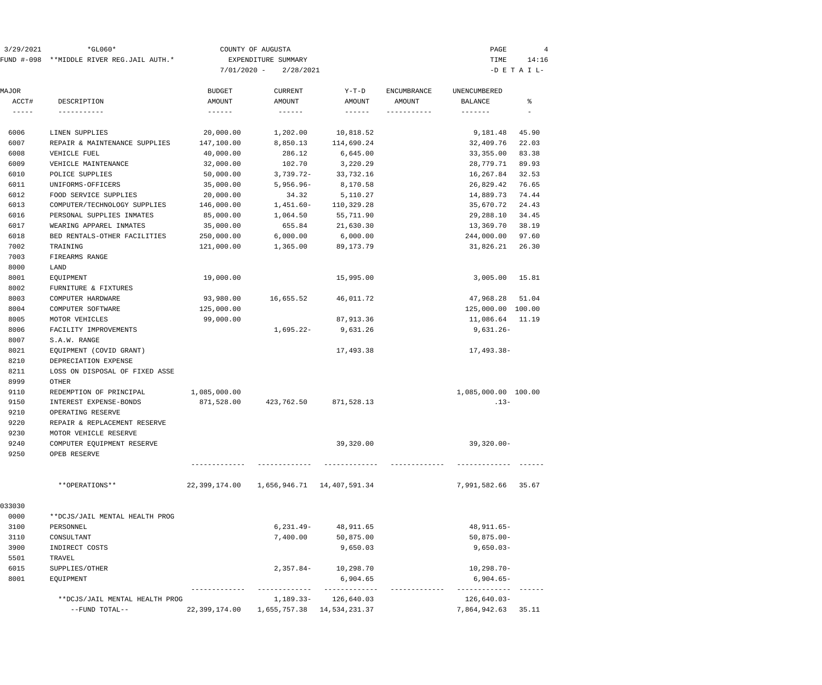| 3/29/2021              | $*GLO60*$                                 |                           | COUNTY OF AUGUSTA    |                            |                       | PAGE                        | 4               |
|------------------------|-------------------------------------------|---------------------------|----------------------|----------------------------|-----------------------|-----------------------------|-----------------|
|                        | FUND #-098 **MIDDLE RIVER REG.JAIL AUTH.* |                           | EXPENDITURE SUMMARY  |                            |                       | TIME                        | 14:16           |
|                        |                                           | $7/01/2020 -$             | 2/28/2021            |                            |                       |                             | $-D$ E T A I L- |
|                        |                                           |                           |                      |                            |                       |                             |                 |
| MAJOR                  |                                           | <b>BUDGET</b>             | <b>CURRENT</b>       | $Y-T-D$                    | <b>ENCUMBRANCE</b>    | UNENCUMBERED                |                 |
| ACCT#<br>$- - - - - -$ | DESCRIPTION<br>-----------                | AMOUNT<br>$- - - - - - -$ | AMOUNT               | AMOUNT<br>$- - - - - - -$  | AMOUNT<br>----------- | BALANCE<br>$- - - - - - -$  | ႜ               |
| 6006                   | LINEN SUPPLIES                            | 20,000.00                 |                      | 10,818.52                  |                       |                             | 45.90           |
| 6007                   | REPAIR & MAINTENANCE SUPPLIES             | 147,100.00                | 1,202.00<br>8,850.13 | 114,690.24                 |                       | 9,181.48<br>32,409.76       | 22.03           |
| 6008                   | VEHICLE FUEL                              | 40,000.00                 | 286.12               | 6,645.00                   |                       | 33,355.00                   | 83.38           |
| 6009                   | VEHICLE MAINTENANCE                       | 32,000.00                 | 102.70               | 3,220.29                   |                       | 28,779.71                   | 89.93           |
| 6010                   | POLICE SUPPLIES                           | 50,000.00                 | $3,739.72-$          | 33,732.16                  |                       | 16,267.84                   | 32.53           |
| 6011                   | UNIFORMS-OFFICERS                         | 35,000.00                 | $5,956.96 -$         | 8,170.58                   |                       | 26,829.42                   | 76.65           |
| 6012                   | FOOD SERVICE SUPPLIES                     | 20,000.00                 | 34.32                | 5,110.27                   |                       | 14,889.73                   | 74.44           |
| 6013                   | COMPUTER/TECHNOLOGY SUPPLIES              | 146,000.00                | $1,451.60-$          | 110,329.28                 |                       | 35,670.72                   | 24.43           |
| 6016                   | PERSONAL SUPPLIES INMATES                 | 85,000.00                 | 1,064.50             | 55,711.90                  |                       | 29,288.10                   | 34.45           |
| 6017                   | WEARING APPAREL INMATES                   | 35,000.00                 | 655.84               | 21,630.30                  |                       | 13,369.70                   | 38.19           |
| 6018                   | BED RENTALS-OTHER FACILITIES              | 250,000.00                | 6,000.00             | 6,000.00                   |                       | 244,000.00                  | 97.60           |
| 7002                   | TRAINING                                  | 121,000.00                | 1,365.00             | 89,173.79                  |                       | 31,826.21                   | 26.30           |
| 7003                   | FIREARMS RANGE                            |                           |                      |                            |                       |                             |                 |
| 8000                   | LAND                                      |                           |                      |                            |                       |                             |                 |
| 8001                   | EQUIPMENT                                 | 19,000.00                 |                      | 15,995.00                  |                       | 3,005.00                    | 15.81           |
| 8002                   | FURNITURE & FIXTURES                      |                           |                      |                            |                       |                             |                 |
| 8003                   | COMPUTER HARDWARE                         | 93,980.00                 | 16,655.52            | 46,011.72                  |                       | 47,968.28                   | 51.04           |
| 8004                   | COMPUTER SOFTWARE                         | 125,000.00                |                      |                            |                       | 125,000.00 100.00           |                 |
| 8005                   | MOTOR VEHICLES                            | 99,000.00                 |                      | 87,913.36                  |                       | 11,086.64                   | 11.19           |
| 8006                   | FACILITY IMPROVEMENTS                     |                           | $1,695.22-$          | 9,631.26                   |                       | $9,631.26 -$                |                 |
| 8007                   | S.A.W. RANGE                              |                           |                      |                            |                       |                             |                 |
| 8021                   | EQUIPMENT (COVID GRANT)                   |                           |                      | 17,493.38                  |                       | 17,493.38-                  |                 |
| 8210                   | DEPRECIATION EXPENSE                      |                           |                      |                            |                       |                             |                 |
| 8211                   | LOSS ON DISPOSAL OF FIXED ASSE            |                           |                      |                            |                       |                             |                 |
| 8999                   | OTHER                                     |                           |                      |                            |                       |                             |                 |
| 9110                   | REDEMPTION OF PRINCIPAL                   | 1,085,000.00              |                      |                            |                       | 1,085,000.00 100.00         |                 |
| 9150                   | INTEREST EXPENSE-BONDS                    | 871,528.00                | 423,762.50           | 871,528.13                 |                       | $.13-$                      |                 |
| 9210                   | OPERATING RESERVE                         |                           |                      |                            |                       |                             |                 |
| 9220                   | REPAIR & REPLACEMENT RESERVE              |                           |                      |                            |                       |                             |                 |
| 9230                   | MOTOR VEHICLE RESERVE                     |                           |                      |                            |                       |                             |                 |
| 9240                   | COMPUTER EOUIPMENT RESERVE                |                           |                      | 39,320.00                  |                       | $39,320.00 -$               |                 |
| 9250                   | OPEB RESERVE                              |                           |                      |                            |                       |                             |                 |
|                        |                                           |                           |                      |                            |                       |                             |                 |
|                        | **OPERATIONS**                            | 22,399,174.00             |                      | 1,656,946.71 14,407,591.34 |                       | 7,991,582.66                | 35.67           |
| 033030                 |                                           |                           |                      |                            |                       |                             |                 |
| 0000                   | **DCJS/JAIL MENTAL HEALTH PROG            |                           |                      |                            |                       |                             |                 |
| 3100                   | PERSONNEL                                 |                           | 6,231.49-            | 48,911.65                  |                       | 48,911.65-                  |                 |
| 3110                   | CONSULTANT                                |                           | 7,400.00             | 50,875.00                  |                       | $50,875.00 -$               |                 |
| 3900                   | INDIRECT COSTS                            |                           |                      | 9,650.03                   |                       | $9,650.03 -$                |                 |
| 5501                   | TRAVEL                                    |                           |                      |                            |                       |                             |                 |
| 6015                   | SUPPLIES/OTHER                            |                           | $2,357.84-$          | 10,298.70                  |                       | $10, 298.70 -$              |                 |
| 8001                   | EQUIPMENT                                 |                           |                      | 6,904.65                   |                       | $6,904.65-$<br>------------ |                 |
|                        | **DCJS/JAIL MENTAL HEALTH PROG            |                           | 1,189.33-            | 126,640.03                 |                       | 126,640.03-                 |                 |
|                        | --FUND TOTAL--                            | 22,399,174.00             |                      | 1,655,757.38 14,534,231.37 |                       | 7,864,942.63                | 35.11           |
|                        |                                           |                           |                      |                            |                       |                             |                 |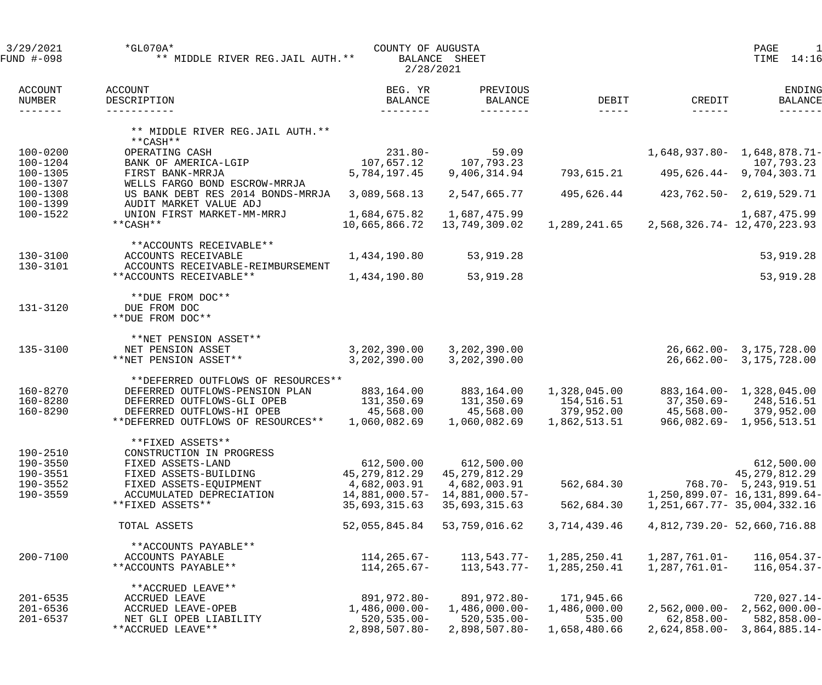| 3/29/2021<br>FUND #-098      | $*$ GL070A $*$<br>** MIDDLE RIVER REG.JAIL AUTH. **                  | COUNTY OF AUGUSTA<br>2/28/2021         | BALANCE SHEET                          |                      |                           | PAGE<br>1<br>14:16<br>TIME             |
|------------------------------|----------------------------------------------------------------------|----------------------------------------|----------------------------------------|----------------------|---------------------------|----------------------------------------|
| ACCOUNT<br>NUMBER<br>------- | ACCOUNT<br>DESCRIPTION<br>-----------                                | BEG. YR<br><b>BALANCE</b><br>--------- | PREVIOUS<br><b>BALANCE</b><br>-------- | DEBIT<br>$- - - - -$ | CREDIT<br>$- - - - - - -$ | ENDING<br><b>BALANCE</b>               |
|                              | ** MIDDLE RIVER REG.JAIL AUTH. **<br>$***$ CASH **                   |                                        |                                        |                      |                           |                                        |
| $100 - 0200$                 | OPERATING CASH                                                       | $231.80 -$                             | 59.09                                  |                      |                           | $1,648,937.80 - 1,648,878.71 -$        |
| $100 - 1204$<br>100-1305     | BANK OF AMERICA-LGIP<br>FIRST BANK-MRRJA                             | 107,657.12<br>5,784,197.45             | 107,793.23<br>9,406,314.94             | 793,615.21           |                           | 107,793.23<br>495,626.44- 9,704,303.71 |
| 100-1307                     | WELLS FARGO BOND ESCROW-MRRJA                                        |                                        |                                        |                      |                           |                                        |
| $100 - 1308$                 | US BANK DEBT RES 2014 BONDS-MRRJA                                    | 3,089,568.13                           | 2,547,665.77                           | 495,626.44           |                           | 423,762.50- 2,619,529.71               |
| 100-1399                     | AUDIT MARKET VALUE ADJ                                               |                                        |                                        |                      |                           |                                        |
| 100-1522                     | UNION FIRST MARKET-MM-MRRJ<br>$**CASH**$                             | 1,684,675.82                           | 1,687,475.99                           |                      |                           | 1,687,475.99                           |
|                              |                                                                      | 10,665,866.72                          | 13,749,309.02                          | 1,289,241.65         |                           | 2,568,326.74 - 12,470,223.93           |
|                              | **ACCOUNTS RECEIVABLE**                                              |                                        |                                        |                      |                           |                                        |
| $130 - 3100$                 | ACCOUNTS RECEIVABLE                                                  | 1,434,190.80                           | 53,919.28                              |                      |                           | 53,919.28                              |
| 130-3101                     | ACCOUNTS RECEIVABLE-REIMBURSEMENT                                    |                                        |                                        |                      |                           |                                        |
|                              | **ACCOUNTS RECEIVABLE**                                              | 1,434,190.80                           | 53,919.28                              |                      |                           | 53,919.28                              |
| 131-3120                     | **DUE FROM DOC**<br>DUE FROM DOC<br>**DUE FROM DOC**                 |                                        |                                        |                      |                           |                                        |
| 135-3100                     | **NET PENSION ASSET**<br>NET PENSION ASSET                           | 3,202,390.00                           | 3,202,390.00                           |                      |                           | $26,662.00 - 3,175,728.00$             |
|                              | **NET PENSION ASSET**                                                | 3,202,390.00                           | 3,202,390.00                           |                      |                           | 26,662.00- 3,175,728.00                |
|                              |                                                                      |                                        |                                        |                      |                           |                                        |
| 160-8270                     | **DEFERRED OUTFLOWS OF RESOURCES**<br>DEFERRED OUTFLOWS-PENSION PLAN | 883,164.00                             | 883,164.00                             | 1,328,045.00         |                           | 883, 164.00 - 1, 328, 045.00           |
| 160-8280                     | DEFERRED OUTFLOWS-GLI OPEB                                           | 131,350.69                             | 131,350.69                             | 154,516.51           | 37,350.69-                | 248,516.51                             |
| 160-8290                     | DEFERRED OUTFLOWS-HI OPEB                                            | 45,568.00                              | 45,568.00                              | 379,952.00           | 45,568.00-                | 379,952.00                             |
|                              | **DEFERRED OUTFLOWS OF RESOURCES**                                   | 1,060,082.69                           | 1,060,082.69                           | 1,862,513.51         |                           | 966,082.69- 1,956,513.51               |
| 190-2510                     | **FIXED ASSETS**<br>CONSTRUCTION IN PROGRESS                         |                                        |                                        |                      |                           |                                        |
| 190-3550                     | FIXED ASSETS-LAND                                                    | 612,500.00                             | 612,500.00                             |                      |                           | 612,500.00                             |
| 190-3551                     | FIXED ASSETS-BUILDING                                                | 45, 279, 812. 29                       | 45, 279, 812. 29                       |                      |                           | 45,279,812.29                          |
| 190-3552                     | FIXED ASSETS-EQUIPMENT                                               | 4,682,003.91                           | 4,682,003.91                           | 562,684.30           |                           | $768.70 - 5,243,919.51$                |
| 190-3559                     | ACCUMULATED DEPRECIATION                                             | $14,881,000.57-$                       | 14,881,000.57-                         |                      |                           | 1, 250, 899.07 - 16, 131, 899.64 -     |
|                              | **FIXED ASSETS**                                                     | 35,693,315.63                          | 35,693,315.63                          | 562,684.30           |                           | 1, 251, 667. 77 - 35, 004, 332. 16     |
|                              | TOTAL ASSETS                                                         | 52,055,845.84                          | 53,759,016.62                          | 3,714,439.46         |                           | 4,812,739.20 - 52,660,716.88           |
|                              | **ACCOUNTS PAYABLE**                                                 |                                        |                                        |                      |                           |                                        |
| $200 - 7100$                 | ACCOUNTS PAYABLE                                                     | 114,265.67-                            | 113,543.77-                            | 1,285,250.41         | $1,287,761.01 -$          | $116,054.37-$                          |
|                              | **ACCOUNTS PAYABLE**                                                 | 114,265.67-                            | 113,543.77-                            | 1,285,250.41         | 1,287,761.01-             | $116,054.37-$                          |
|                              | **ACCRUED LEAVE**                                                    |                                        |                                        |                      |                           |                                        |
| $201 - 6535$                 | ACCRUED LEAVE                                                        | 891,972.80-                            | 891,972.80-                            | 171,945.66           |                           | $720,027.14-$                          |
| $201 - 6536$                 | ACCRUED LEAVE-OPEB                                                   | $1,486,000.00-$                        | $1,486,000.00-$                        | 1,486,000.00         | $2,562,000.00-$           | $2,562,000.00-$                        |
| $201 - 6537$                 | NET GLI OPEB LIABILITY                                               | $520, 535.00 -$                        | $520, 535.00 -$                        | 535.00               | $62,858.00 -$             | 582,858.00-                            |
|                              | **ACCRUED LEAVE**                                                    | $2,898,507.80-$                        | $2,898,507.80 -$                       | 1,658,480.66         | $2,624,858.00-$           | $3,864,885.14-$                        |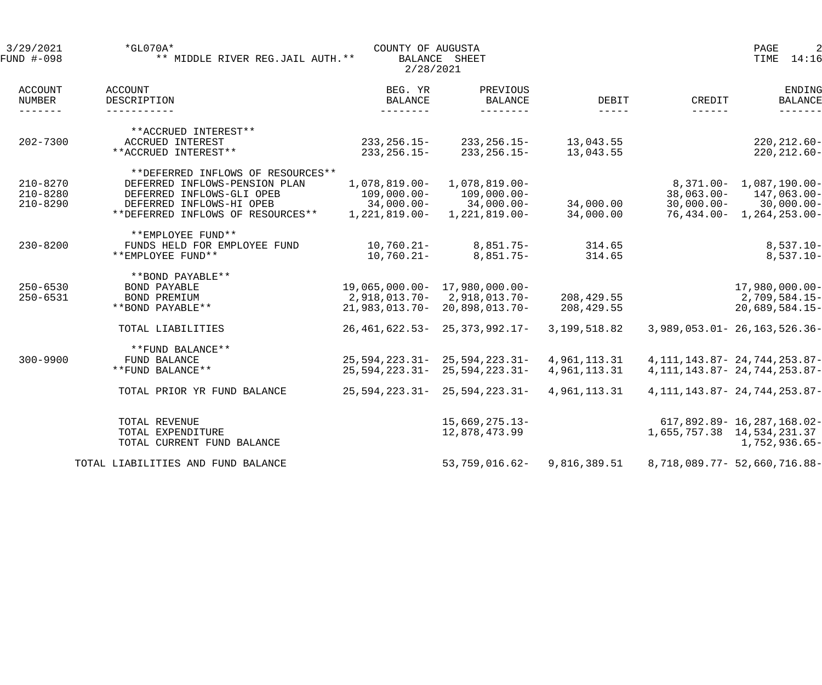| 3/29/2021<br>FUND #-098              | $*$ GL070A*<br>** MIDDLE RIVER REG.JAIL AUTH. **                   | COUNTY OF AUGUSTA<br>2/28/2021 | BALANCE SHEET                     |                        |                            | PAGE<br>2<br>14:16<br>TIME         |
|--------------------------------------|--------------------------------------------------------------------|--------------------------------|-----------------------------------|------------------------|----------------------------|------------------------------------|
| ACCOUNT<br>NUMBER<br>$- - - - - - -$ | ACCOUNT<br>DESCRIPTION<br>------------                             | BEG. YR<br>BALANCE             | PREVIOUS<br>BALANCE<br>--------   | DEBIT<br>$- - - - - -$ | CREDIT<br>$- - - - - - -$  | ENDING<br><b>BALANCE</b>           |
|                                      | **ACCRUED INTEREST**                                               |                                |                                   |                        |                            |                                    |
| $202 - 7300$                         | ACCRUED INTEREST<br>**ACCRUED INTEREST**                           | 233,256.15-<br>$233, 256.15 -$ | 233,256.15-<br>$233, 256.15 -$    | 13,043.55<br>13,043.55 |                            | $220, 212.60 -$<br>$220, 212.60 -$ |
| $210 - 8270$                         | **DEFERRED INFLOWS OF RESOURCES**<br>DEFERRED INFLOWS-PENSION PLAN | 1,078,819.00-                  | $1,078,819.00 -$                  |                        |                            | 8,371.00- 1,087,190.00-            |
| $210 - 8280$                         | DEFERRED INFLOWS-GLI OPEB                                          | 109,000.00-                    | $109,000.00-$                     |                        | $38,063.00 -$              | 147,063.00-                        |
| $210 - 8290$                         | DEFERRED INFLOWS-HI OPEB                                           |                                | $34,000.00 - 34,000.00 -$         | 34,000.00              |                            | $30,000.00 - 30,000.00 -$          |
|                                      | **DEFERRED INFLOWS OF RESOURCES**                                  | 1,221,819.00-                  | 1,221,819.00-                     | 34,000.00              |                            | 76,434.00- 1,264,253.00-           |
| $230 - 8200$                         | **EMPLOYEE FUND**<br>FUNDS HELD FOR EMPLOYEE FUND                  |                                |                                   | 314.65                 |                            |                                    |
|                                      | **EMPLOYEE FUND**                                                  | 10,760.21-<br>$10,760.21 -$    | $8,851.75-$<br>8,851.75-          | 314.65                 |                            | $8,537.10 -$<br>$8,537.10 -$       |
|                                      | **BOND PAYABLE**                                                   |                                |                                   |                        |                            |                                    |
| $250 - 6530$                         | BOND PAYABLE                                                       |                                | 19,065,000.00- 17,980,000.00-     |                        |                            | $17,980,000.00-$                   |
| $250 - 6531$                         | BOND PREMIUM                                                       |                                | 2,918,013.70-2,918,013.70-        | 208,429.55             |                            | 2,709,584.15-                      |
|                                      | **BOND PAYABLE**                                                   |                                | $21,983,013.70 - 20,898,013.70 -$ | 208,429.55             |                            | $20,689,584.15-$                   |
|                                      | TOTAL LIABILITIES                                                  |                                | $26,461,622.53 - 25,373,992.17 -$ | 3,199,518.82           |                            | 3,989,053.01 - 26,163,526.36 -     |
|                                      | **FUND BALANCE**                                                   |                                |                                   |                        |                            |                                    |
| $300 - 9900$                         | FUND BALANCE                                                       |                                | $25,594,223.31 - 25,594,223.31 -$ | 4,961,113.31           |                            | 4, 111, 143.87 - 24, 744, 253.87 - |
|                                      | **FUND BALANCE**                                                   |                                | $25,594,223.31 - 25,594,223.31 -$ | 4,961,113.31           |                            | 4, 111, 143.87 - 24, 744, 253.87 - |
|                                      | TOTAL PRIOR YR FUND BALANCE                                        |                                | $25,594,223.31 - 25,594,223.31 -$ | 4,961,113.31           |                            | 4, 111, 143.87 - 24, 744, 253.87 - |
|                                      | TOTAL REVENUE                                                      |                                | $15,669,275.13-$                  |                        |                            | 617,892.89- 16,287,168.02-         |
|                                      | TOTAL EXPENDITURE                                                  |                                | 12,878,473.99                     |                        | 1,655,757.38 14,534,231.37 |                                    |
|                                      | TOTAL CURRENT FUND BALANCE                                         |                                |                                   |                        |                            | 1,752,936.65-                      |
|                                      | TOTAL LIABILITIES AND FUND BALANCE                                 |                                | $53,759,016.62-$                  | 9,816,389.51           |                            | 8,718,089.77- 52,660,716.88-       |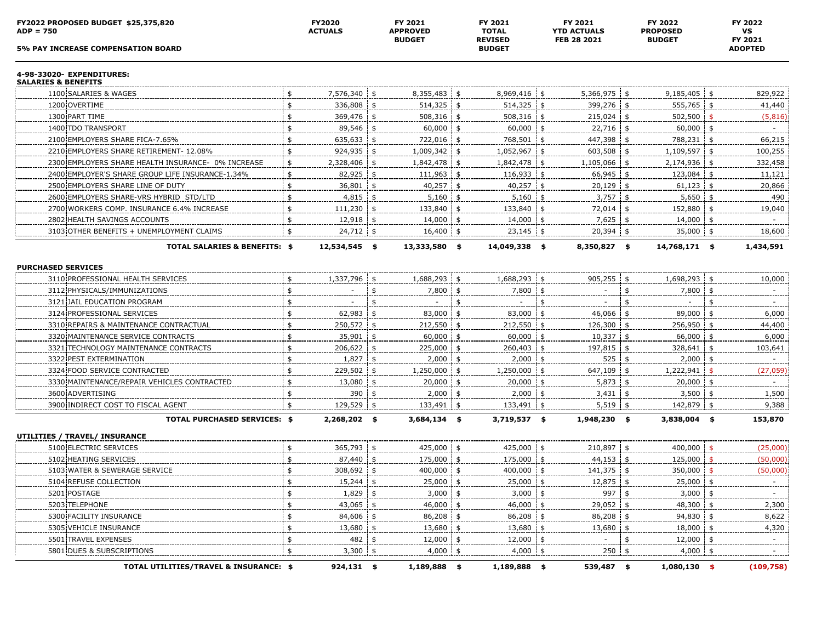| FY2022 PROPOSED BUDGET \$25,375,820<br>$ADP = 750$<br><b>5% PAY INCREASE COMPENSATION BOARD</b> |               | FY2020<br><b>ACTUALS</b> |            | FY 2021<br><b>APPROVED</b><br><b>BUDGET</b> | FY 2021<br><b>TOTAL</b><br><b>REVISED</b><br><b>BUDGET</b> | FY 2021<br><b>YTD ACTUALS</b><br>FEB 28 2021 |              |     | FY 2022<br><b>PROPOSED</b><br><b>BUDGET</b> | FY 2022<br>VS<br>FY 2021<br><b>ADOPTED</b> |
|-------------------------------------------------------------------------------------------------|---------------|--------------------------|------------|---------------------------------------------|------------------------------------------------------------|----------------------------------------------|--------------|-----|---------------------------------------------|--------------------------------------------|
|                                                                                                 |               |                          |            |                                             |                                                            |                                              |              |     |                                             |                                            |
| 4-98-33020- EXPENDITURES:<br><b>SALARIES &amp; BENEFITS</b>                                     |               |                          |            |                                             |                                                            |                                              |              |     |                                             |                                            |
| 1100 SALARIES & WAGES                                                                           |               | 7,576,340 \$             |            | $8,355,483$ \$                              | 8,969,416 \$                                               |                                              | 5,366,975 \$ |     | $9,185,405$ \$                              | 829,922                                    |
| 1200 OVERTIME                                                                                   | \$            | 336,808 \$               |            | $514,325$ \$                                | $514,325$ \$                                               |                                              | $399,276$ \$ |     | 555,765 \$                                  | 41,440                                     |
| 1300 PART TIME                                                                                  |               | 369,476                  | -\$        | 508,316 \$                                  | $508,316$ \$                                               |                                              | $215,024$ \$ |     | $502,500$ \$                                | (5,816)                                    |
| 1400 TDO TRANSPORT                                                                              | \$            | 89,546                   |            | $60,000$ \$                                 | $60,000$ \$                                                |                                              | 22,716 \$    |     | $60,000$ \$                                 |                                            |
| 2100 EMPLOYERS SHARE FICA-7.65%                                                                 | \$            | 635,633                  |            | 722,016 \$                                  | 768,501 \$                                                 |                                              | 447,398 \$   |     | 788,231 \$                                  | 66,215                                     |
| 2210 EMPLOYERS SHARE RETIREMENT- 12.08%                                                         |               | 924,935                  | -\$        | 1,009,342 \$                                | 1,052,967 \$                                               |                                              | 603,508 \$   |     | 1,109,597 \$                                | 100,255                                    |
| 2300 EMPLOYERS SHARE HEALTH INSURANCE- 0% INCREASE                                              | \$            | 2,328,406                | \$         | 1,842,478 \$                                | $1,842,478$ \$                                             |                                              | 1,105,066 \$ |     | 2,174,936 \$                                | 332,458                                    |
| 2400 EMPLOYER'S SHARE GROUP LIFE INSURANCE-1.34%                                                | \$            | 82,925                   | \$         | $111,963$ \$                                | $116,933$ \$                                               |                                              | 66,945 \$    |     | 123,084 \$                                  | 11,121                                     |
| 2500 EMPLOYERS SHARE LINE OF DUTY                                                               | \$            | 36,801                   | - \$       | $40,257$ \$                                 | $40,257$ \$                                                |                                              | $20,129$ \$  |     | $61,123$ \$                                 | 20,866                                     |
| 2600 EMPLOYERS SHARE-VRS HYBRID STD/LTD                                                         | -\$           | 4,815                    |            | 5,160                                       | $5,160$ \$                                                 |                                              | $3,757$ \$   |     | $5,650$ \$                                  | 490                                        |
| 2700 WORKERS COMP. INSURANCE 6.4% INCREASE                                                      | \$            | 111,230                  |            | 133,840 \$                                  | 133,840 \$                                                 |                                              | 72,014 \$    |     | 152,880 \$                                  | 19,040                                     |
| 2802 HEALTH SAVINGS ACCOUNTS                                                                    | \$            | 12,918                   | \$         | $14,000$ \$                                 | $14,000$ \$                                                |                                              | $7,625$ \$   |     | 14,000 \$                                   |                                            |
| 3103 OTHER BENEFITS + UNEMPLOYMENT CLAIMS                                                       |               | 24,712                   | \$         | 16,400                                      | $23,145$ \$                                                |                                              | 20,394       | -\$ | $35,000$ \$                                 | 18,600                                     |
| <b>TOTAL SALARIES &amp; BENEFITS: \$</b>                                                        |               | 12,534,545 \$            |            | 13,333,580 \$                               | 14,049,338 \$                                              |                                              | 8,350,827 \$ |     | 14,768,171 \$                               | 1,434,591                                  |
| <b>PURCHASED SERVICES</b>                                                                       |               |                          |            |                                             |                                                            |                                              |              |     |                                             |                                            |
| 3110 PROFESSIONAL HEALTH SERVICES                                                               | \$            | 1,337,796                | \$         | 1,688,293 \$                                | 1,688,293 \$                                               |                                              | $905,255$ \$ |     | 1,698,293 \$                                | 10,000                                     |
| 3112 PHYSICALS/IMMUNIZATIONS                                                                    | \$            |                          |            | $7,800$ \$                                  | $7,800$ \$                                                 |                                              |              |     | $7,800$ \$                                  |                                            |
| 3121 JAIL EDUCATION PROGRAM                                                                     | $\frac{1}{2}$ |                          |            |                                             |                                                            |                                              |              |     |                                             |                                            |
| 3124 PROFESSIONAL SERVICES                                                                      | \$            | 62,983                   |            | 83,000 \$                                   | 83,000 \$                                                  |                                              | 46,066       | -\$ | 89,000 \$                                   | 6,000                                      |
| 3310 REPAIRS & MAINTENANCE CONTRACTUAL                                                          | \$            | 250,572                  | \$         | 212,550                                     | \$<br>$212,550$ \$                                         |                                              | 126,300      | \$  | $256,950$ \$                                | 44,400                                     |
| 3320 MAINTENANCE SERVICE CONTRACTS                                                              | \$            | 35,901                   | \$         | $60,000$ \$                                 | $60,000$ \$                                                |                                              | $10,337$ \$  |     | $66,000$ \$                                 | 6,000                                      |
| 3321 TECHNOLOGY MAINTENANCE CONTRACTS                                                           | \$            | 206,622                  | -\$        | 225,000 \$                                  | $260,403$ \$                                               |                                              | 197,815 \$   |     | 328,641 \$                                  | 103,641                                    |
| 3322 PEST EXTERMINATION                                                                         | \$            | 1,827                    |            | 2,000                                       | $2,000$ \$                                                 |                                              | 525          |     | $2,000$ \$                                  |                                            |
| 3324 FOOD SERVICE CONTRACTED                                                                    | -\$           | 229,502                  |            | 1,250,000 \$                                | 1,250,000 \$                                               |                                              | 647,109 \$   |     | 1,222,941                                   | (27, 059)                                  |
| 3330 MAINTENANCE/REPAIR VEHICLES CONTRACTED                                                     | \$            | 13,080                   |            | $20,000$ \$                                 | 20,000 \$                                                  |                                              | $5,873$ \$   |     | 20,000 \$                                   |                                            |
| 3600 ADVERTISING                                                                                |               | 390                      |            | 2,000                                       | $2,000$ \$                                                 |                                              | 3,431        |     | 3,500                                       | 1,500                                      |
| 3900 INDIRECT COST TO FISCAL AGENT                                                              |               | 129,529 \$               |            | 133,491 \$                                  | 133,491 \$                                                 |                                              | $5,519$ \$   |     | 142,879 \$                                  | 9,388                                      |
| <b>TOTAL PURCHASED SERVICES: \$</b>                                                             |               | 2,268,202 \$             |            | $3,684,134$ \$                              | $3,719,537$ \$                                             |                                              | 1,948,230 \$ |     | 3,838,004 \$                                | 153,870                                    |
| UTILITIES / TRAVEL/ INSURANCE                                                                   |               |                          |            |                                             |                                                            |                                              |              |     |                                             |                                            |
| 5100 ELECTRIC SERVICES                                                                          | \$            | 365,793 \$               |            | 425,000 \$                                  | 425,000 \$                                                 |                                              | 210,897 \$   |     | $400,000$ \$                                | (25,000)                                   |
| 5102 HEATING SERVICES                                                                           | \$            | 87,440                   |            | 175,000 \$                                  | 175,000 \$                                                 |                                              | 44,153 \$    |     | $125,000$ \$                                | (50,000)                                   |
| 5103 WATER & SEWERAGE SERVICE                                                                   | \$            | 308,692                  |            | 400,000 \$                                  | 400,000 \$                                                 |                                              | 141,375 \$   |     | 350,000 \$                                  | (50,000)                                   |
| 5104 REFUSE COLLECTION                                                                          |               | $15,244$ \$              |            | $25,000$ \$                                 | 25,000 \$                                                  |                                              | 12,875 \$    |     | $25,000$ \$                                 |                                            |
| 5201 POSTAGE                                                                                    |               | 1,829                    | $\sqrt{5}$ | $3,000$ \$                                  | $3,000$ \$                                                 |                                              | $997 +$      |     | $3,000$ \$                                  |                                            |
| 5203 TELEPHONE                                                                                  | \$            | 43,065 \$                |            | 46,000 \$                                   | 46,000 \$                                                  |                                              | 29,052 \$    |     | 48,300 \$                                   | 2,300                                      |
| 5300 FACILITY INSURANCE                                                                         | \$            | $84,606$ \$              |            | 86,208 \$                                   | 86,208 \$                                                  |                                              | 86,208 \$    |     | $94,830$ \$                                 | 8,622                                      |
| 5305 VEHICLE INSURANCE                                                                          | \$            | 13,680 \$                |            | 13,680 \$                                   | 13,680 \$                                                  |                                              | $13,680$ \$  |     | 18,000 \$                                   | 4,320                                      |
| 5501 TRAVEL EXPENSES                                                                            | -\$           | 482 \$                   |            | 12,000 \$                                   | $12,000$ \$                                                |                                              |              |     | 12,000 \$                                   |                                            |
| 5801 DUES & SUBSCRIPTIONS                                                                       | \$            | $3,300$ \$               |            | $4,000$ \$                                  | $4,000$ \$                                                 |                                              | $250 +$      |     | $4,000$ \$                                  |                                            |
| TOTAL UTILITIES/TRAVEL & INSURANCE: \$                                                          |               | 924,131 \$               |            | $1,189,888$ \$                              | 1,189,888 \$                                               |                                              | 539,487 \$   |     | $1,080,130$ \$                              | (109, 758)                                 |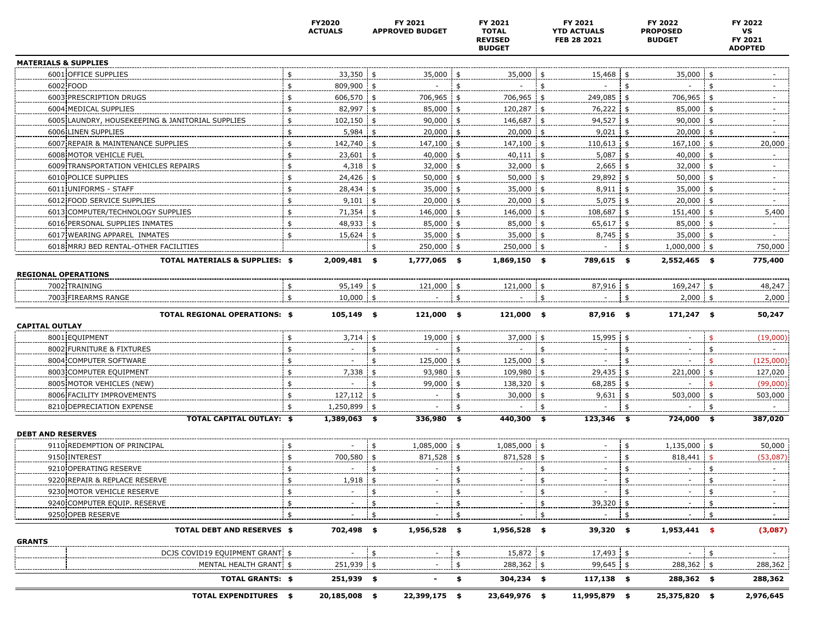|                                                                         | FY2020<br><b>ACTUALS</b> | FY 2021<br><b>APPROVED BUDGET</b> |      | FY 2021<br><b>TOTAL</b><br><b>REVISED</b><br><b>BUDGET</b> | FY 2021<br><b>YTD ACTUALS</b><br>FEB 28 2021 |               | FY 2022<br><b>PROPOSED</b><br><b>BUDGET</b> |               | FY 2022<br>VS<br>FY 2021<br><b>ADOPTED</b> |
|-------------------------------------------------------------------------|--------------------------|-----------------------------------|------|------------------------------------------------------------|----------------------------------------------|---------------|---------------------------------------------|---------------|--------------------------------------------|
| <b>MATERIALS &amp; SUPPLIES</b>                                         |                          |                                   |      |                                                            |                                              |               |                                             |               |                                            |
| 6001 OFFICE SUPPLIES                                                    | 33,350                   | 35,000                            |      | 35,000 \$                                                  | 15,468                                       | - \$          | 35,000 \$                                   |               |                                            |
| 6002 FOOD                                                               | \$<br>809,900 \$         |                                   |      |                                                            |                                              |               |                                             |               |                                            |
| 6003 PRESCRIPTION DRUGS                                                 | \$<br>606,570            | 706,965 \$                        |      | 706,965 \$                                                 | 249,085 \$                                   |               | $706,965$ \$                                |               |                                            |
| 6004 MEDICAL SUPPLIES                                                   | \$<br>82,997 \$          | 85,000 \$                         |      | 120,287 \$                                                 | 76,222 \$                                    |               | 85,000 \$                                   |               |                                            |
| 6005 LAUNDRY, HOUSEKEEPING & JANITORIAL SUPPLIES                        | \$<br>102,150            | 90,000                            | \$   | 146,687 \$                                                 | 94,527 \$                                    |               | $90,000$ \$                                 |               |                                            |
| 6006 LINEN SUPPLIES                                                     | \$<br>5,984              | 20,000                            | \$   | $20,000$ \$                                                | 9,021                                        | \$            | $20,000$ \$                                 |               |                                            |
| 6007 REPAIR & MAINTENANCE SUPPLIES                                      | \$<br>142,740            | 147,100 \$                        |      | 147,100 \$                                                 | $110,613$ \$                                 |               | 167,100 \$                                  |               | 20,000                                     |
| 6008 MOTOR VEHICLE FUEL                                                 | 23,601                   | 40,000                            |      | $40,111$ \$                                                | 5,087                                        |               | 40,000                                      |               |                                            |
| 6009 TRANSPORTATION VEHICLES REPAIRS                                    | \$<br>4,318              | 32,000                            |      | $32,000$ \$                                                | 2,665                                        |               | 32,000 \$                                   |               |                                            |
| 6010 POLICE SUPPLIES                                                    | \$<br>24,426             | 50,000                            |      | $50,000$ \$                                                | 29,892                                       | - \$          | $50,000$ \$                                 |               |                                            |
| 6011 UNIFORMS - STAFF                                                   | \$<br>28,434             | \$<br>$35,000$ \$                 |      | $35,000$ \$                                                | $8,911$ \$                                   |               | $35,000$ \$                                 |               |                                            |
| 6012 FOOD SERVICE SUPPLIES                                              | \$<br>9,101              | 20,000                            | \$   | $20,000$ \$                                                | 5,075                                        | 5             | $20,000$ \$                                 |               |                                            |
| 6013 COMPUTER/TECHNOLOGY SUPPLIES                                       | \$<br>71,354             | 146,000                           | - \$ | 146,000 \$                                                 | 108,687                                      | \$            | 151,400 \$                                  |               | 5,400                                      |
| 6016 PERSONAL SUPPLIES INMATES                                          | \$<br>48,933             | 85,000                            |      | 85,000 \$                                                  | $65,617$ \$                                  |               | $85,000$ \$                                 |               |                                            |
| 6017 WEARING APPAREL INMATES                                            | \$<br>15,624             | $35,000$ \$                       |      | $35,000$ \$                                                | 8,745                                        | - \$          | 35,000 \$                                   |               |                                            |
| 6018 MRRJ BED RENTAL-OTHER FACILITIES                                   |                          | 250,000 \$                        |      | $250,000$ \$                                               |                                              | \$            | 1,000,000 \$                                |               | 750,000                                    |
| <b>TOTAL MATERIALS &amp; SUPPLIES: \$</b><br><b>REGIONAL OPERATIONS</b> | 2,009,481 \$             | $1,777,065$ \$                    |      | 1,869,150 \$                                               | 789,615 \$                                   |               | 2,552,465 \$                                |               | 775,400                                    |
| 7002 TRAINING                                                           | 95,149                   | 121,000                           | \$   | 121,000                                                    | 87,916                                       | -\$           | 169,247 \$                                  |               | 48,247                                     |
| 7003 FIREARMS RANGE                                                     | \$<br>$10,000$ \$        |                                   | \$   |                                                            | \$                                           | \$            | $2,000$ \$                                  |               | 2,000                                      |
| <b>TOTAL REGIONAL OPERATIONS: \$</b><br><b>CAPITAL OUTLAY</b>           | $105,149$ \$             | $121,000$ \$                      |      | $121,000$ \$                                               | 87,916 \$                                    |               | $171,247$ \$                                |               | 50,247                                     |
| 8001 EQUIPMENT                                                          | \$<br>$3,714$ \$         | 19,000 \$                         |      | 37,000 \$                                                  | $15,995$ \$                                  |               |                                             |               | (19,000)                                   |
| 8002 FURNITURE & FIXTURES                                               | \$                       |                                   | \$   |                                                            | \$                                           | \$            |                                             | \$            |                                            |
| 8004 COMPUTER SOFTWARE                                                  | \$                       | 125,000                           | \$   | 125,000 \$                                                 |                                              | \$            |                                             |               | (125,000)                                  |
| 8003 COMPUTER EQUIPMENT                                                 | \$<br>7,338              | 93,980 \$                         |      | 109,980 \$                                                 | 29,435                                       | -\$           | $221,000$ \$                                |               | 127,020                                    |
| 8005 MOTOR VEHICLES (NEW)                                               | \$                       | 99,000 \$                         |      | 138,320 \$                                                 | 68,285 \$                                    |               |                                             |               | (99,000)                                   |
| 8006 FACILITY IMPROVEMENTS                                              | \$<br>127,112            |                                   | \$   | 30,000 \$                                                  | $9,631$ \$                                   |               | 503,000 \$                                  |               | 503,000                                    |
| 8210 DEPRECIATION EXPENSE                                               | \$<br>1,250,899          |                                   | \$   |                                                            | \$                                           | $\frac{4}{5}$ |                                             |               |                                            |
| <b>TOTAL CAPITAL OUTLAY: \$</b><br><b>DEBT AND RESERVES</b>             | 1,389,063 \$             | $336,980$ \$                      |      | 440,300 \$                                                 | $123,346$ \$                                 |               | 724,000 \$                                  |               | 387,020                                    |
| 9110 REDEMPTION OF PRINCIPAL                                            | \$                       | 1,085,000 \$                      |      | 1,085,000 \$                                               |                                              | \$            | $1,135,000$ \$                              |               | 50,000                                     |
| 9150 INTEREST                                                           | \$<br>700,580            | 871,528 \$                        |      | $871,528$ \$                                               |                                              | \$            | $818,441$ \$                                |               | (53,087)                                   |
| 9210 OPERATING RESERVE                                                  | \$                       |                                   | \$   |                                                            | \$<br>$\qquad \qquad -$                      | \$            |                                             | $\frac{4}{5}$ |                                            |
| 9220 REPAIR & REPLACE RESERVE                                           | \$<br>1,918              |                                   | \$   |                                                            | \$                                           | \$            |                                             |               |                                            |
| 9230 MOTOR VEHICLE RESERVE                                              | \$                       |                                   | \$   |                                                            |                                              | \$            |                                             |               |                                            |
| 9240 COMPUTER EQUIP. RESERVE                                            |                          |                                   |      |                                                            | 39,320 \$<br>\$                              |               |                                             |               |                                            |
| 9250 OPEB RESERVE                                                       |                          |                                   |      |                                                            |                                              | \$            |                                             |               |                                            |
| TOTAL DEBT AND RESERVES \$<br><b>GRANTS</b>                             | 702,498 \$               | $1,956,528$ \$                    |      | $1,956,528$ \$                                             | 39,320 \$                                    |               | $1,953,441$ \$                              |               | (3,087)                                    |
| DCJS COVID19 EQUIPMENT GRANT! \$                                        |                          |                                   |      | 15,872 \$                                                  | 17,493 \$                                    |               |                                             |               |                                            |
| MENTAL HEALTH GRANT \$                                                  | $251,939$ \$             |                                   | \$   | $288,362$ \$                                               | $99,645$ \$                                  |               | $288,362$ \$                                |               | 288,362                                    |
| <b>TOTAL GRANTS: \$</b>                                                 | 251,939 \$               |                                   | \$   | $304,234$ \$                                               | $117,138$ \$                                 |               | 288,362 \$                                  |               | 288,362                                    |
| <b>TOTAL EXPENDITURES \$</b>                                            | 20,185,008 \$            | 22,399,175 \$                     |      | 23,649,976 \$                                              | 11,995,879 \$                                |               | 25,375,820 \$                               |               | 2,976,645                                  |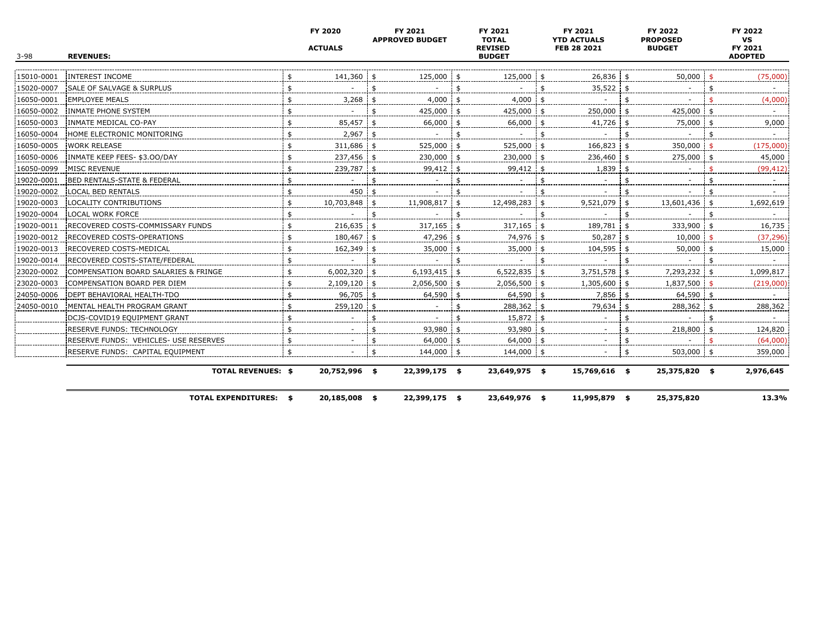| $3 - 98$   | <b>REVENUES:</b>                      | FY 2020<br><b>ACTUALS</b> | FY 2021<br><b>APPROVED BUDGET</b> |      | FY 2021<br><b>TOTAL</b><br><b>REVISED</b><br><b>BUDGET</b> | FY 2021<br><b>YTD ACTUALS</b><br>FEB 28 2021 | FY 2022<br><b>PROPOSED</b><br><b>BUDGET</b> |     | FY 2022<br><b>VS</b><br>FY 2021<br><b>ADOPTED</b> |
|------------|---------------------------------------|---------------------------|-----------------------------------|------|------------------------------------------------------------|----------------------------------------------|---------------------------------------------|-----|---------------------------------------------------|
| 15010-0001 | <b>INTEREST INCOME</b>                | 141,360 \$                | 125,000                           |      | 125,000 \$                                                 | $26,836$ \$                                  | 50,000                                      |     | (75,000)                                          |
| 15020-0007 | SALE OF SALVAGE & SURPLUS             |                           |                                   |      |                                                            | $35,522$ \$                                  |                                             |     |                                                   |
| 16050-0001 | <b>EMPLOYEE MEALS</b>                 | \$<br>3,268               | 4,000                             |      | 4,000                                                      |                                              | \$                                          |     | (4,000)                                           |
| 16050-0002 | INMATE PHONE SYSTEM                   | \$                        | 425,000                           |      | 425,000 \$                                                 | 250,000 \$                                   | $425,000$ \$                                |     |                                                   |
| 16050-0003 | INMATE MEDICAL CO-PAY                 | \$<br>85,457              | 66,000                            |      | 66,000                                                     | $41,726$ \$                                  | 75,000                                      |     | 9,000                                             |
| 16050-0004 | HOME ELECTRONIC MONITORING            | \$<br>$2,967$ \$          |                                   |      |                                                            |                                              |                                             |     |                                                   |
| 16050-0005 | <b>WORK RELEASE</b>                   | \$<br>311,686 \$          | 525,000                           | - \$ | 525,000 \$                                                 | $166,823$ \$                                 | 350,000                                     |     | (175,000)                                         |
| 16050-0006 | INMATE KEEP FEES- \$3.00/DAY          | \$<br>237,456             | 230,000                           |      | 230,000 \$                                                 | 236,460                                      | 275,000                                     | -\$ | 45,000                                            |
| 16050-0099 | <b>MISC REVENUE</b>                   | \$<br>239,787             | 99,412                            |      | 99,412                                                     | 1,839                                        |                                             |     | (99, 412)                                         |
| 19020-0001 | BED RENTALS-STATE & FEDERAL           | \$                        |                                   |      |                                                            |                                              |                                             |     |                                                   |
| 19020-0002 | <b>LOCAL BED RENTALS</b>              | \$<br>$450 +$             |                                   |      |                                                            |                                              |                                             |     |                                                   |
| 19020-0003 | LOCALITY CONTRIBUTIONS                | \$<br>10,703,848 \$       | 11,908,817 \$                     |      | 12,498,283 \$                                              | $9,521,079$ \$                               | 13,601,436 \$                               |     | 1,692,619                                         |
| 19020-0004 | LOCAL WORK FORCE                      | \$                        |                                   |      |                                                            |                                              |                                             |     |                                                   |
| 19020-0011 | RECOVERED COSTS-COMMISSARY FUNDS      | \$<br>$216,635$ \$        | 317,165                           | - \$ | $317,165$ \$                                               | 189,781 \$                                   | 333,900                                     |     | 16,735                                            |
| 19020-0012 | RECOVERED COSTS-OPERATIONS            | \$<br>180,467             | $47,296$ \$                       |      | 74,976 \$                                                  | 50,287                                       | 10,000                                      |     | (37, 296)                                         |
| 19020-0013 | RECOVERED COSTS-MEDICAL               | \$<br>162,349             | 35,000                            |      | 35,000 \$                                                  | 104,595 \$                                   | $50,000$ \$                                 |     | 15,000                                            |
| 19020-0014 | RECOVERED COSTS-STATE/FEDERAL         | \$                        |                                   |      |                                                            |                                              |                                             |     |                                                   |
| 23020-0002 | COMPENSATION BOARD SALARIES & FRINGE  | \$<br>$6,002,320$ \$      | $6,193,415$ \$                    |      | $6,522,835$ \$                                             | $3,751,578$ \$                               | 7,293,232 \$                                |     | 1,099,817                                         |
| 23020-0003 | COMPENSATION BOARD PER DIEM           | \$<br>$2,109,120$ \$      | 2,056,500 \$                      |      | $2,056,500$ \$                                             | $1,305,600$ \$                               | 1,837,500                                   |     | (219,000)                                         |
| 24050-0006 | DEPT BEHAVIORAL HEALTH-TDO            | \$<br>$96,705$ \$         | 64,590                            |      | 64,590 \$                                                  | 7,856                                        | 64,590                                      |     |                                                   |
| 24050-0010 | MENTAL HEALTH PROGRAM GRANT           | 259,120                   |                                   |      | 288,362 \$                                                 | 79,634                                       | 288,362                                     |     | 288,362                                           |
|            | DCJS-COVID19 EQUIPMENT GRANT          | \$                        |                                   |      | 15,872 \$                                                  |                                              |                                             |     |                                                   |
|            | RESERVE FUNDS: TECHNOLOGY             | \$                        | 93,980                            |      | 93,980 \$                                                  |                                              | 218,800                                     |     | 124,820                                           |
|            | RESERVE FUNDS: VEHICLES- USE RESERVES | \$                        | 64,000                            |      | $64,000$ \$                                                |                                              |                                             |     | (64,000)                                          |
|            | RESERVE FUNDS: CAPITAL EQUIPMENT      | \$                        | 144,000 \$                        |      | 144,000 \$                                                 |                                              | 503,000 \$                                  |     | 359,000                                           |
|            | <b>TOTAL REVENUES: \$</b>             | 20,752,996 \$             | 22,399,175 \$                     |      | 23,649,975 \$                                              | 15,769,616 \$                                | 25,375,820 \$                               |     | 2,976,645                                         |
|            | <b>TOTAL EXPENDITURES: \$</b>         | 20,185,008 \$             | 22,399,175 \$                     |      | 23,649,976 \$                                              | 11,995,879 \$                                | 25,375,820                                  |     | 13.3%                                             |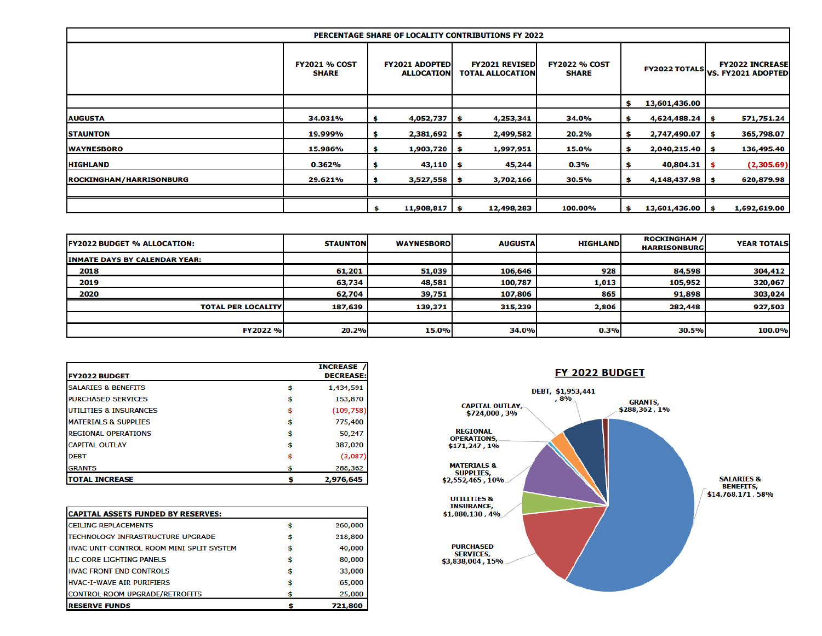|                                |                                      |                                            | <b>PERCENTAGE SHARE OF LOCALITY CONTRIBUTIONS FY 2022</b> |                                      |    |                   |    |                                                            |
|--------------------------------|--------------------------------------|--------------------------------------------|-----------------------------------------------------------|--------------------------------------|----|-------------------|----|------------------------------------------------------------|
|                                | <b>FY2021 % COST</b><br><b>SHARE</b> | <b>FY2021 ADOPTED</b><br><b>ALLOCATION</b> | <b>FY2021 REVISEDI</b><br><b>TOTAL ALLOCATION</b>         | <b>FY2022 % COST</b><br><b>SHARE</b> |    |                   |    | <b>FY2022 INCREASE</b><br>FY2022 TOTALS VS. FY2021 ADOPTED |
|                                |                                      |                                            |                                                           |                                      | Ŝ  | 13,601,436.00     |    |                                                            |
| <b>AUGUSTA</b>                 | 34.031%                              | $4,052,737$   \$                           | 4,253,341                                                 | 34.0%                                | \$ | $4,624,488.24$ \$ |    | 571,751.24                                                 |
| <b>STAUNTON</b>                | 19.999%                              | $2,381,692$   \$                           | 2,499,582                                                 | 20.2%                                | \$ | 2,747,490.07      | S. | 365,798.07                                                 |
| <b>WAYNESBORO</b>              | 15.986%                              | $1,903,720$ \$                             | 1,997,951                                                 | 15.0%                                | \$ | $2,040,215.40$ \$ |    | 136,495.40                                                 |
| <b>HIGHLAND</b>                | 0.362%                               | $43,110$ \$                                | 45,244                                                    | 0.3%                                 | S  | $40,804.31$ \$    |    | (2,305.69)                                                 |
| <b>ROCKINGHAM/HARRISONBURG</b> | 29.621%                              | $3,527,558$ \$                             | 3,702,166                                                 | 30.5%                                | \$ | $4,148,437.98$ \$ |    | 620,879.98                                                 |
|                                |                                      | $11,908,817$ \$                            | 12,498,283                                                | 100.00%                              | \$ | 13,601,436.00     | S. | 1,692,619.00                                               |

| <b>IFY2022 BUDGET % ALLOCATION:</b>  | <b>STAUNTON</b> | <b>WAYNESBOROL</b> | <b>AUGUSTA</b> | <b>HIGHLAND</b> | <b>ROCKINGHAM /</b><br><b>HARRISONBURG</b> | <b>YEAR TOTALS</b> |
|--------------------------------------|-----------------|--------------------|----------------|-----------------|--------------------------------------------|--------------------|
| <b>INMATE DAYS BY CALENDAR YEAR:</b> |                 |                    |                |                 |                                            |                    |
| 2018                                 | 61,201          | 51,039             | 106,646        | 928             | 84,598                                     | 304,412            |
| 2019                                 | 63,734          | 48,581             | 100,787        | 1,013           | 105,952                                    | 320,067            |
| 2020                                 | 62,704          | 39,751             | 107,806        | 865             | 91,898                                     | 303,024            |
| <b>TOTAL PER LOCALITY</b>            | 187,639         | 139,371            | 315,239        | 2,806           | 282,448                                    | 927,503            |
|                                      |                 |                    |                |                 |                                            |                    |
| FY2022 %                             | 20.2%           | 15.0%              | 34.0%          | 0.3%            | 30.5%                                      | 100.0%             |

| <b>FY2022 BUDGET</b>              | <b>INCREASE</b><br><b>DECREASE:</b> |
|-----------------------------------|-------------------------------------|
| <b>SALARIES &amp; BENEFITS</b>    | 1,434,591                           |
| <b>PURCHASED SERVICES</b>         | 153,870                             |
| <b>UTILITIES &amp; INSURANCES</b> | (109, 758)                          |
| <b>MATERIALS &amp; SUPPLIES</b>   | 775,400                             |
| <b>REGIONAL OPERATIONS</b>        | 50,247                              |
| <b>CAPITAL OUTLAY</b>             | \$<br>387,020                       |
| <b>DEBT</b>                       | (3,087)                             |
| <b>GRANTS</b>                     | 288,362                             |
| <b>TOTAL INCREASE</b>             | 2,976,645                           |

| <b>CAPITAL ASSETS FUNDED BY RESERVES:</b>       |              |
|-------------------------------------------------|--------------|
| <b>CEILING REPLACEMENTS</b>                     | 260,000      |
| <b>TECHNOLOGY INFRASTRUCTURE UPGRADE</b>        | 218,800      |
| <b>HVAC UNIT-CONTROL ROOM MINI SPLIT SYSTEM</b> | 40,000       |
| <b>ILC CORE LIGHTING PANELS</b>                 | \$<br>80,000 |
| <b>HVAC FRONT END CONTROLS</b>                  | \$<br>33,000 |
| <b>HVAC-I-WAVE AIR PURIFIERS</b>                | \$<br>65,000 |
| <b>CONTROL ROOM UPGRADE/RETROFITS</b>           | 25,000       |
| <b>RESERVE FUNDS</b>                            | 721,800      |

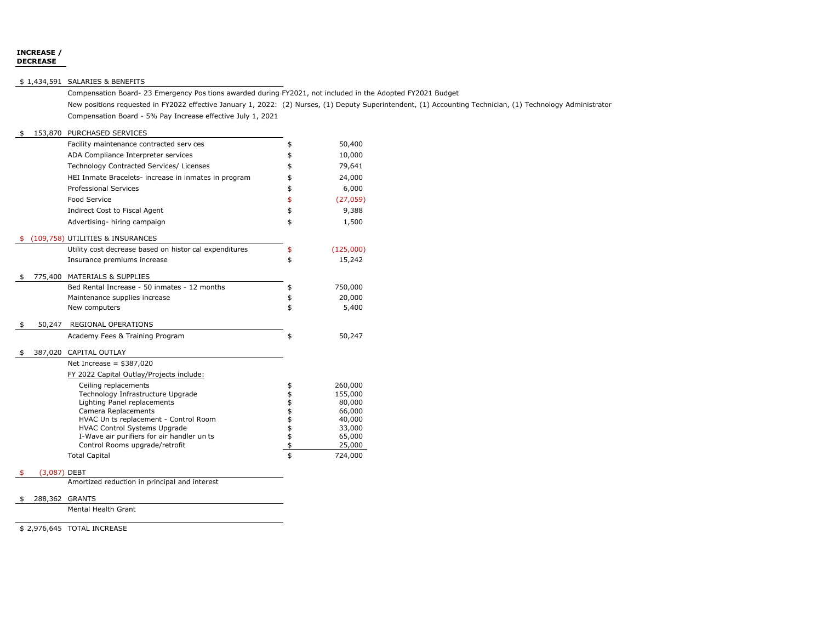#### **INCREASE / DECREASE**

#### \$ 1,434,591 SALARIES & BENEFITS

Compensation Board- 23 Emergency Pos tions awarded during FY2021, not included in the Adopted FY2021 Budget

New positions requested in FY2022 effective January 1, 2022: (2) Nurses, (1) Deputy Superintendent, (1) Accounting Technician, (1) Technology Administrator Compensation Board - 5% Pay Increase effective July 1, 2021

#### \$ 153,870 PURCHASED SERVICES

|                    | Facility maintenance contracted serv ces               | \$             | 50,400    |
|--------------------|--------------------------------------------------------|----------------|-----------|
|                    | ADA Compliance Interpreter services                    | \$             | 10,000    |
|                    | Technology Contracted Services/ Licenses               | \$             | 79,641    |
|                    | HEI Inmate Bracelets- increase in inmates in program   | \$             | 24,000    |
|                    | <b>Professional Services</b>                           | \$             | 6,000     |
|                    | Food Service                                           | \$             | (27, 059) |
|                    | Indirect Cost to Fiscal Agent                          | \$             | 9,388     |
|                    | Advertising-hiring campaign                            | \$             | 1,500     |
|                    |                                                        |                |           |
|                    | (109,758) UTILITIES & INSURANCES                       |                |           |
|                    | Utility cost decrease based on histor cal expenditures | \$             | (125,000) |
|                    | Insurance premiums increase                            | \$             | 15,242    |
|                    | 775,400 MATERIALS & SUPPLIES                           |                |           |
|                    | Bed Rental Increase - 50 inmates - 12 months           | \$             | 750,000   |
|                    | Maintenance supplies increase                          | \$             | 20,000    |
|                    | New computers                                          | \$             | 5,400     |
|                    |                                                        |                |           |
| \$<br>50,247       | REGIONAL OPERATIONS                                    |                |           |
|                    | Academy Fees & Training Program                        | \$             | 50,247    |
| \$<br>387,020      | CAPITAL OUTLAY                                         |                |           |
|                    | Net Increase = $$387,020$                              |                |           |
|                    | FY 2022 Capital Outlay/Projects include:               |                |           |
|                    | Ceiling replacements                                   | \$             | 260,000   |
|                    | Technology Infrastructure Upgrade                      |                | 155,000   |
|                    | Lighting Panel replacements                            |                | 80,000    |
|                    | Camera Replacements                                    |                | 66,000    |
|                    | HVAC Un ts replacement - Control Room                  |                | 40,000    |
|                    | <b>HVAC Control Systems Upgrade</b>                    | \$\$\$\$\$\$\$ | 33,000    |
|                    | I-Wave air purifiers for air handler un ts             |                | 65,000    |
|                    | Control Rooms upgrade/retrofit                         |                | 25,000    |
|                    | <b>Total Capital</b>                                   | \$             | 724,000   |
| \$<br>(3,087) DEBT |                                                        |                |           |
|                    |                                                        |                |           |

Amortized reduction in principal and interest

#### \$ 288,362 GRANTS

Mental Health Grant

\$ 2,976,645 TOTAL INCREASE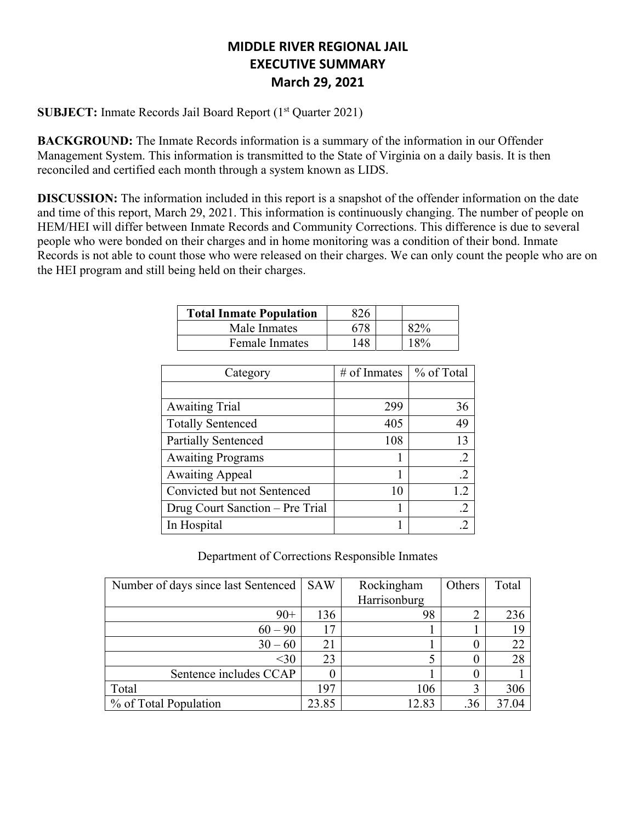# **MIDDLE RIVER REGIONAL JAIL EXECUTIVE SUMMARY March 29, 2021**

**SUBJECT:** Inmate Records Jail Board Report (1<sup>st</sup> Quarter 2021)

**BACKGROUND:** The Inmate Records information is a summary of the information in our Offender Management System. This information is transmitted to the State of Virginia on a daily basis. It is then reconciled and certified each month through a system known as LIDS.

**DISCUSSION:** The information included in this report is a snapshot of the offender information on the date and time of this report, March 29, 2021. This information is continuously changing. The number of people on HEM/HEI will differ between Inmate Records and Community Corrections. This difference is due to several people who were bonded on their charges and in home monitoring was a condition of their bond. Inmate Records is not able to count those who were released on their charges. We can only count the people who are on the HEI program and still being held on their charges.

| <b>Total Inmate Population</b> |      |     |
|--------------------------------|------|-----|
| Male Inmates                   | 678. |     |
| <b>Female Inmates</b>          | 48   | 18% |

| Category                        | # of Inmates | % of Total |
|---------------------------------|--------------|------------|
|                                 |              |            |
| <b>Awaiting Trial</b>           | 299          | 36         |
| <b>Totally Sentenced</b>        | 405          | 49         |
| <b>Partially Sentenced</b>      | 108          | 13         |
| <b>Awaiting Programs</b>        |              | $\cdot$ .2 |
| <b>Awaiting Appeal</b>          |              | $\cdot$ .2 |
| Convicted but not Sentenced     | 10           | 1.2        |
| Drug Court Sanction – Pre Trial |              | $\cdot$ .2 |
| In Hospital                     |              | .2         |

Department of Corrections Responsible Inmates

| Number of days since last Sentenced | <b>SAW</b> | Rockingham   | Others | Total |
|-------------------------------------|------------|--------------|--------|-------|
|                                     |            | Harrisonburg |        |       |
| $90+$                               | 136        | 98           | ◠      | 236   |
| $60 - 90$                           | 17         |              |        | 19    |
| $30 - 60$                           | 21         |              |        | 22    |
| $30$                                | 23         |              |        | 28    |
| Sentence includes CCAP              |            |              |        |       |
| Total                               | 197        | 106          |        | 306   |
| % of Total Population               | 23.85      | 12.83        | .36    | 37.04 |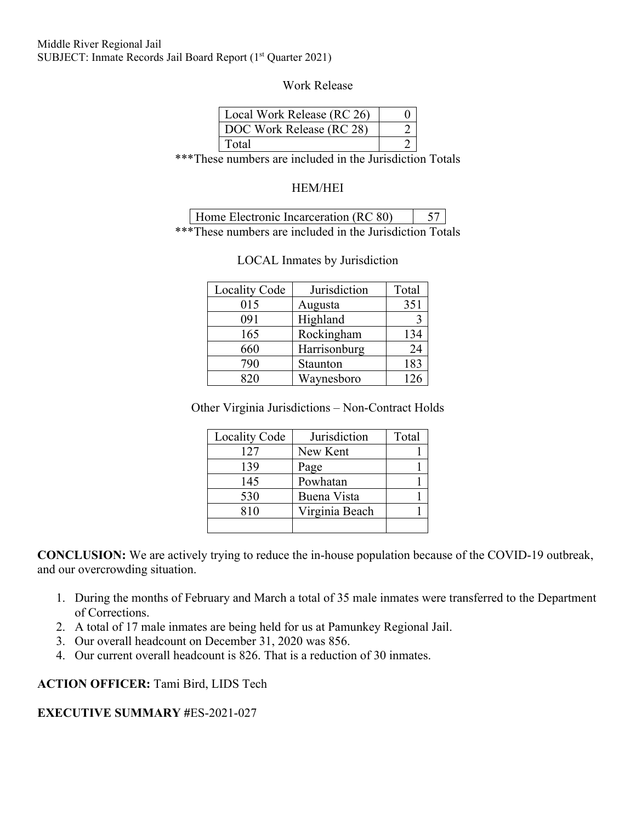### Middle River Regional Jail SUBJECT: Inmate Records Jail Board Report (1<sup>st</sup> Quarter 2021)

Work Release

| Local Work Release (RC 26) |  |
|----------------------------|--|
| DOC Work Release (RC 28)   |  |
| Total                      |  |

\*\*\*These numbers are included in the Jurisdiction Totals

# HEM/HEI

| Home Electronic Incarceration (RC 80) |  |
|---------------------------------------|--|
|                                       |  |

\*\*\*These numbers are included in the Jurisdiction Totals

| <b>Locality Code</b> | Jurisdiction | Total |
|----------------------|--------------|-------|
| 015                  | Augusta      | 351   |
| 091                  | Highland     |       |
| 165                  | Rockingham   | 134   |
| 660                  | Harrisonburg | 24    |
| 790                  | Staunton     | 183   |
| ാറ                   | Waynesboro   | 26    |

## LOCAL Inmates by Jurisdiction

Other Virginia Jurisdictions – Non-Contract Holds

| <b>Locality Code</b> | Jurisdiction   | Total |
|----------------------|----------------|-------|
| 127                  | New Kent       |       |
| 139                  | Page           |       |
| 145                  | Powhatan       |       |
| 530                  | Buena Vista    |       |
| 810                  | Virginia Beach |       |
|                      |                |       |

**CONCLUSION:** We are actively trying to reduce the in-house population because of the COVID-19 outbreak, and our overcrowding situation.

- 1. During the months of February and March a total of 35 male inmates were transferred to the Department of Corrections.
- 2. A total of 17 male inmates are being held for us at Pamunkey Regional Jail.
- 3. Our overall headcount on December 31, 2020 was 856.
- 4. Our current overall headcount is 826. That is a reduction of 30 inmates.

**ACTION OFFICER:** Tami Bird, LIDS Tech

# **EXECUTIVE SUMMARY #**ES-2021-027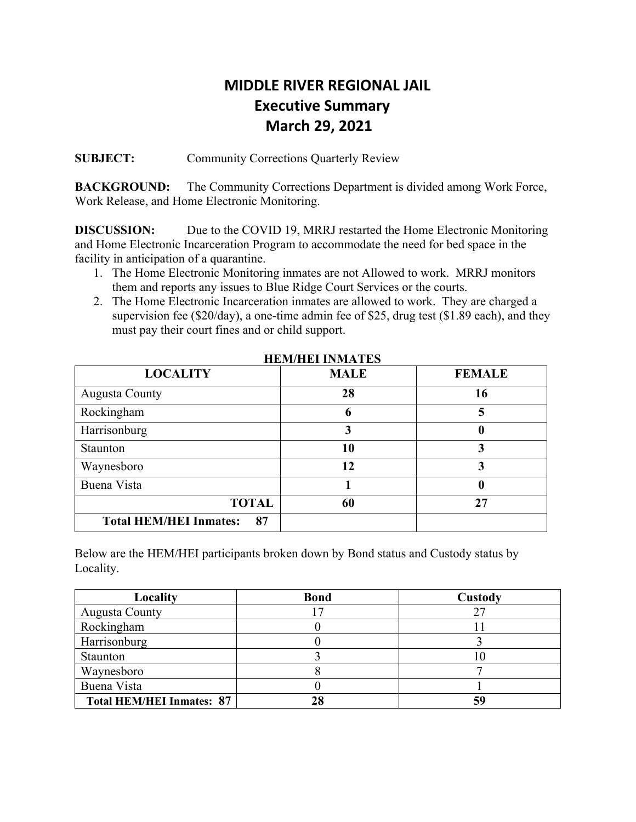# **MIDDLE RIVER REGIONAL JAIL Executive Summary March 29, 2021**

**SUBJECT:** Community Corrections Quarterly Review

**BACKGROUND:** The Community Corrections Department is divided among Work Force, Work Release, and Home Electronic Monitoring.

**DISCUSSION:** Due to the COVID 19, MRRJ restarted the Home Electronic Monitoring and Home Electronic Incarceration Program to accommodate the need for bed space in the facility in anticipation of a quarantine.

- 1. The Home Electronic Monitoring inmates are not Allowed to work. MRRJ monitors them and reports any issues to Blue Ridge Court Services or the courts.
- 2. The Home Electronic Incarceration inmates are allowed to work. They are charged a supervision fee (\$20/day), a one-time admin fee of \$25, drug test (\$1.89 each), and they must pay their court fines and or child support.

| <b>LOCALITY</b>                     | <b>MALE</b> | <b>FEMALE</b> |
|-------------------------------------|-------------|---------------|
| <b>Augusta County</b>               | 28          | 16            |
| Rockingham                          |             |               |
| Harrisonburg                        |             | u             |
| Staunton                            | 10          | 3             |
| Waynesboro                          | 12          |               |
| Buena Vista                         |             | U             |
| <b>TOTAL</b>                        | 60          | 27            |
| <b>Total HEM/HEI Inmates:</b><br>87 |             |               |

 **HEM/HEI INMATES** 

Below are the HEM/HEI participants broken down by Bond status and Custody status by Locality.

| Locality                         | <b>Bond</b> | Custody |
|----------------------------------|-------------|---------|
| <b>Augusta County</b>            |             | 27      |
| Rockingham                       |             |         |
| Harrisonburg                     |             |         |
| Staunton                         |             |         |
| Waynesboro                       |             |         |
| Buena Vista                      |             |         |
| <b>Total HEM/HEI Inmates: 87</b> |             | 59      |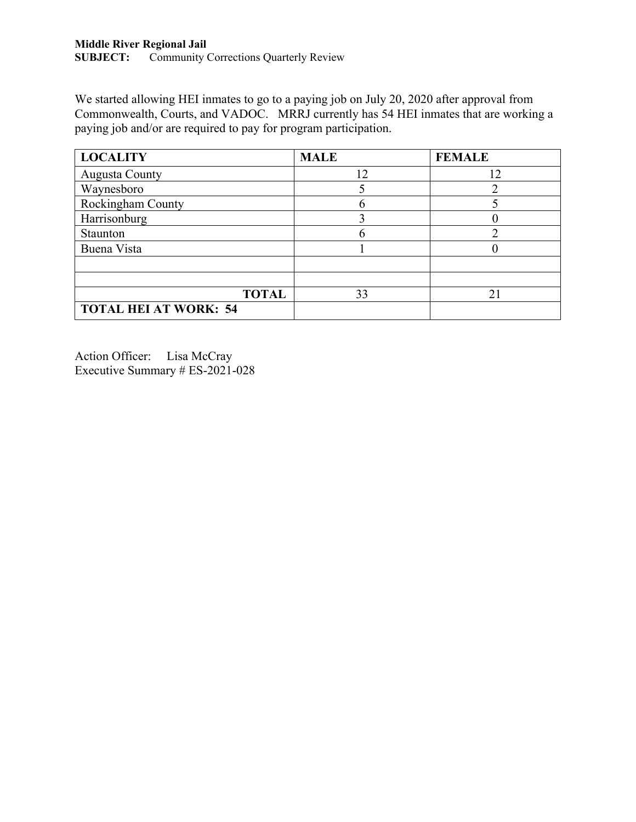We started allowing HEI inmates to go to a paying job on July 20, 2020 after approval from Commonwealth, Courts, and VADOC. MRRJ currently has 54 HEI inmates that are working a paying job and/or are required to pay for program participation.

| <b>LOCALITY</b>              | <b>MALE</b> | <b>FEMALE</b> |
|------------------------------|-------------|---------------|
| <b>Augusta County</b>        | 12          | 12            |
| Waynesboro                   |             |               |
| Rockingham County            |             |               |
| Harrisonburg                 |             |               |
| Staunton                     |             |               |
| Buena Vista                  |             |               |
|                              |             |               |
|                              |             |               |
| <b>TOTAL</b>                 | 33          | $2^{\circ}$   |
| <b>TOTAL HEI AT WORK: 54</b> |             |               |

Action Officer: Lisa McCray Executive Summary # ES-2021-028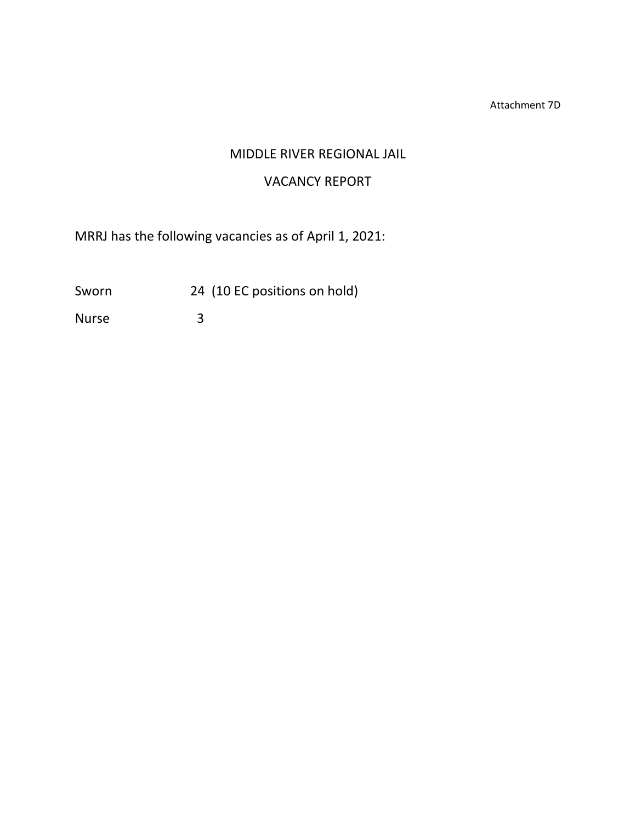Attachment 7D

# MIDDLE RIVER REGIONAL JAIL

# VACANCY REPORT

MRRJ has the following vacancies as of April 1, 2021:

Sworn 24 (10 EC positions on hold)

Nurse 3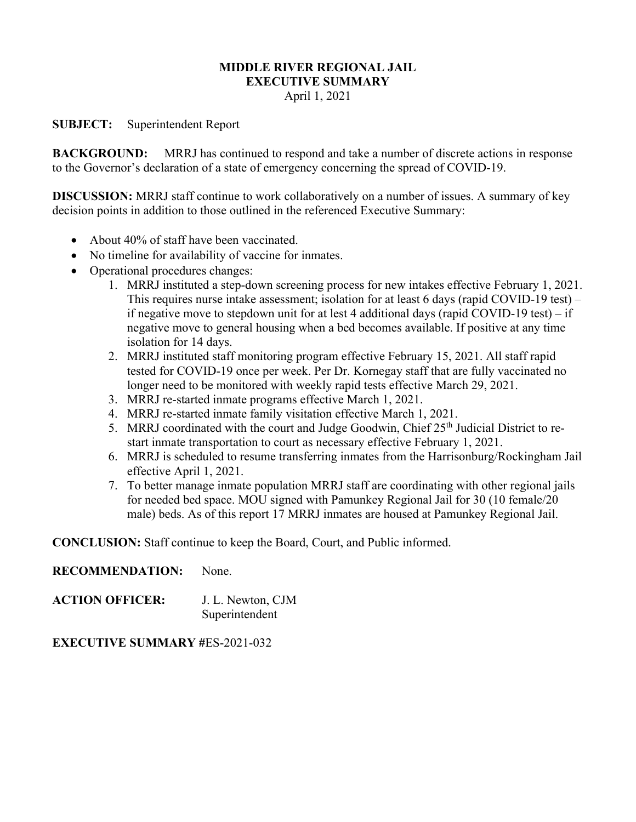# **MIDDLE RIVER REGIONAL JAIL EXECUTIVE SUMMARY**

April 1, 2021

# **SUBJECT:** Superintendent Report

**BACKGROUND:** MRRJ has continued to respond and take a number of discrete actions in response to the Governor's declaration of a state of emergency concerning the spread of COVID-19.

**DISCUSSION:** MRRJ staff continue to work collaboratively on a number of issues. A summary of key decision points in addition to those outlined in the referenced Executive Summary:

- About 40% of staff have been vaccinated.
- No timeline for availability of vaccine for inmates.
- Operational procedures changes:
	- 1. MRRJ instituted a step-down screening process for new intakes effective February 1, 2021. This requires nurse intake assessment; isolation for at least 6 days (rapid COVID-19 test) – if negative move to stepdown unit for at lest 4 additional days (rapid COVID-19 test) – if negative move to general housing when a bed becomes available. If positive at any time isolation for 14 days.
	- 2. MRRJ instituted staff monitoring program effective February 15, 2021. All staff rapid tested for COVID-19 once per week. Per Dr. Kornegay staff that are fully vaccinated no longer need to be monitored with weekly rapid tests effective March 29, 2021.
	- 3. MRRJ re-started inmate programs effective March 1, 2021.
	- 4. MRRJ re-started inmate family visitation effective March 1, 2021.
	- 5. MRRJ coordinated with the court and Judge Goodwin, Chief  $25<sup>th</sup>$  Judicial District to restart inmate transportation to court as necessary effective February 1, 2021.
	- 6. MRRJ is scheduled to resume transferring inmates from the Harrisonburg/Rockingham Jail effective April 1, 2021.
	- 7. To better manage inmate population MRRJ staff are coordinating with other regional jails for needed bed space. MOU signed with Pamunkey Regional Jail for 30 (10 female/20 male) beds. As of this report 17 MRRJ inmates are housed at Pamunkey Regional Jail.

**CONCLUSION:** Staff continue to keep the Board, Court, and Public informed.

# **RECOMMENDATION:** None.

**ACTION OFFICER:** J. L. Newton, CJM Superintendent

# **EXECUTIVE SUMMARY #**ES-2021-032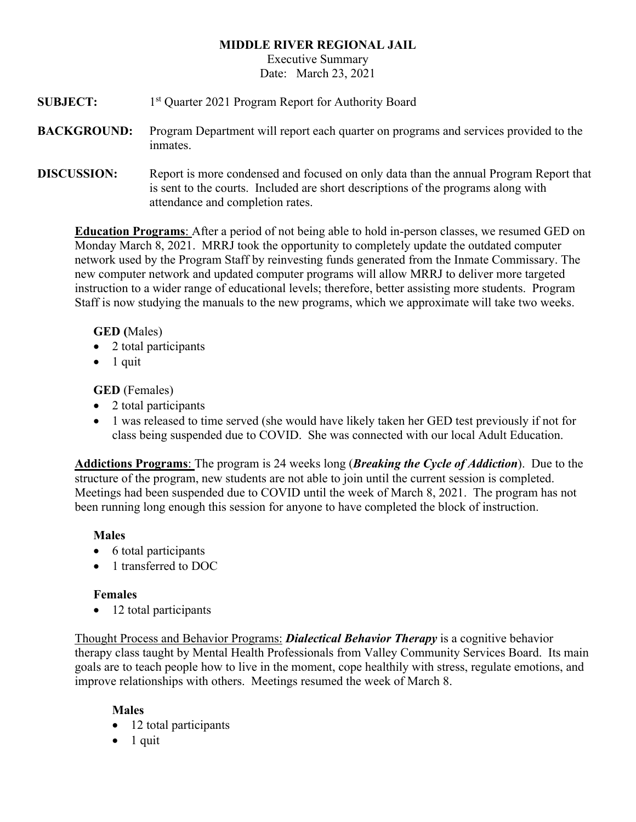# **MIDDLE RIVER REGIONAL JAIL**

Executive Summary Date: March 23, 2021

- **SUBJECT:** 1<sup>st</sup> Quarter 2021 Program Report for Authority Board
- **BACKGROUND:** Program Department will report each quarter on programs and services provided to the inmates.
- **DISCUSSION:** Report is more condensed and focused on only data than the annual Program Report that is sent to the courts. Included are short descriptions of the programs along with attendance and completion rates.

**Education Programs**: After a period of not being able to hold in-person classes, we resumed GED on Monday March 8, 2021. MRRJ took the opportunity to completely update the outdated computer network used by the Program Staff by reinvesting funds generated from the Inmate Commissary. The new computer network and updated computer programs will allow MRRJ to deliver more targeted instruction to a wider range of educational levels; therefore, better assisting more students. Program Staff is now studying the manuals to the new programs, which we approximate will take two weeks.

# **GED (**Males)

- 2 total participants
- $\bullet$  1 quit

# **GED** (Females)

- 2 total participants
- 1 was released to time served (she would have likely taken her GED test previously if not for class being suspended due to COVID. She was connected with our local Adult Education.

**Addictions Programs**: The program is 24 weeks long (*Breaking the Cycle of Addiction*). Due to the structure of the program, new students are not able to join until the current session is completed. Meetings had been suspended due to COVID until the week of March 8, 2021. The program has not been running long enough this session for anyone to have completed the block of instruction.

# **Males**

- 6 total participants
- 1 transferred to DOC

# **Females**

• 12 total participants

Thought Process and Behavior Programs: *Dialectical Behavior Therapy* is a cognitive behavior therapy class taught by Mental Health Professionals from Valley Community Services Board. Its main goals are to teach people how to live in the moment, cope healthily with stress, regulate emotions, and improve relationships with others. Meetings resumed the week of March 8.

# **Males**

- 12 total participants
- $\bullet$  1 quit